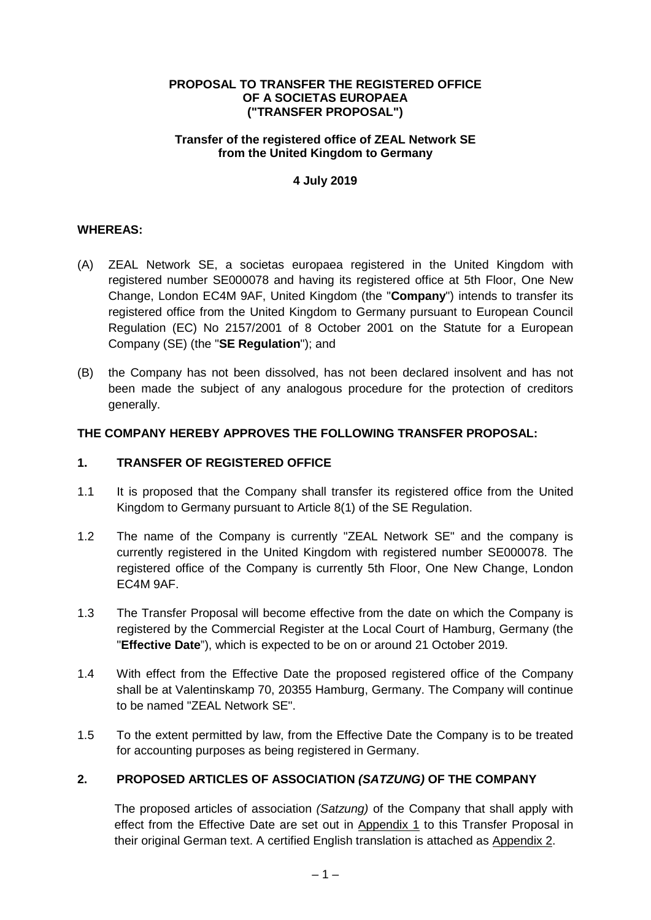#### **PROPOSAL TO TRANSFER THE REGISTERED OFFICE OF A SOCIETAS EUROPAEA ("TRANSFER PROPOSAL")**

#### **Transfer of the registered office of ZEAL Network SE from the United Kingdom to Germany**

## **4 July 2019**

## **WHEREAS:**

- (A) ZEAL Network SE, a societas europaea registered in the United Kingdom with registered number SE000078 and having its registered office at 5th Floor, One New Change, London EC4M 9AF, United Kingdom (the "**Company**") intends to transfer its registered office from the United Kingdom to Germany pursuant to European Council Regulation (EC) No 2157/2001 of 8 October 2001 on the Statute for a European Company (SE) (the "**SE Regulation**"); and
- (B) the Company has not been dissolved, has not been declared insolvent and has not been made the subject of any analogous procedure for the protection of creditors generally.

## **THE COMPANY HEREBY APPROVES THE FOLLOWING TRANSFER PROPOSAL:**

## **1. TRANSFER OF REGISTERED OFFICE**

- 1.1 It is proposed that the Company shall transfer its registered office from the United Kingdom to Germany pursuant to Article 8(1) of the SE Regulation.
- 1.2 The name of the Company is currently "ZEAL Network SE" and the company is currently registered in the United Kingdom with registered number SE000078. The registered office of the Company is currently 5th Floor, One New Change, London EC4M 9AF.
- <span id="page-0-0"></span>1.3 The Transfer Proposal will become effective from the date on which the Company is registered by the Commercial Register at the Local Court of Hamburg, Germany (the "**Effective Date**"), which is expected to be on or around 21 October 2019.
- 1.4 With effect from the Effective Date the proposed registered office of the Company shall be at Valentinskamp 70, 20355 Hamburg, Germany. The Company will continue to be named "ZEAL Network SE".
- 1.5 To the extent permitted by law, from the Effective Date the Company is to be treated for accounting purposes as being registered in Germany.

## **2. PROPOSED ARTICLES OF ASSOCIATION** *(SATZUNG)* **OF THE COMPANY**

The proposed articles of association *(Satzung)* of the Company that shall apply with effect from the Effective Date are set out in Appendix 1 to this Transfer Proposal in their original German text. A certified English translation is attached as Appendix 2.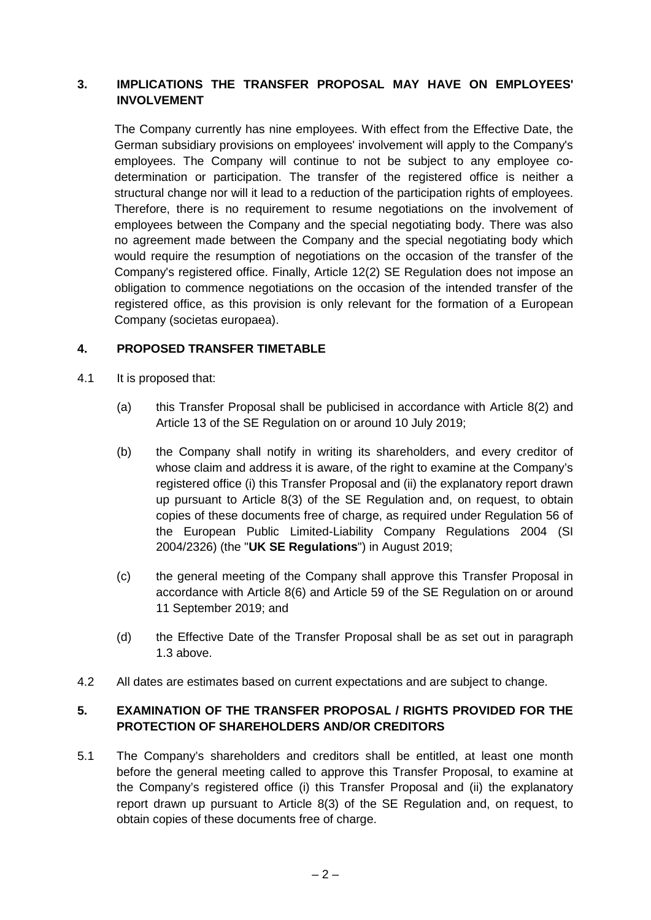## **3. IMPLICATIONS THE TRANSFER PROPOSAL MAY HAVE ON EMPLOYEES' INVOLVEMENT**

The Company currently has nine employees. With effect from the Effective Date, the German subsidiary provisions on employees' involvement will apply to the Company's employees. The Company will continue to not be subject to any employee codetermination or participation. The transfer of the registered office is neither a structural change nor will it lead to a reduction of the participation rights of employees. Therefore, there is no requirement to resume negotiations on the involvement of employees between the Company and the special negotiating body. There was also no agreement made between the Company and the special negotiating body which would require the resumption of negotiations on the occasion of the transfer of the Company's registered office. Finally, Article 12(2) SE Regulation does not impose an obligation to commence negotiations on the occasion of the intended transfer of the registered office, as this provision is only relevant for the formation of a European Company (societas europaea).

## **4. PROPOSED TRANSFER TIMETABLE**

- 4.1 It is proposed that:
	- (a) this Transfer Proposal shall be publicised in accordance with Article 8(2) and Article 13 of the SE Regulation on or around 10 July 2019;
	- (b) the Company shall notify in writing its shareholders, and every creditor of whose claim and address it is aware, of the right to examine at the Company's registered office (i) this Transfer Proposal and (ii) the explanatory report drawn up pursuant to Article 8(3) of the SE Regulation and, on request, to obtain copies of these documents free of charge, as required under Regulation 56 of the European Public Limited-Liability Company Regulations 2004 (SI 2004/2326) (the "**UK SE Regulations**") in August 2019;
	- (c) the general meeting of the Company shall approve this Transfer Proposal in accordance with Article 8(6) and Article 59 of the SE Regulation on or around 11 September 2019; and
	- (d) the Effective Date of the Transfer Proposal shall be as set out in paragraph [1.3](#page-0-0) above.
- 4.2 All dates are estimates based on current expectations and are subject to change.

## **5. EXAMINATION OF THE TRANSFER PROPOSAL / RIGHTS PROVIDED FOR THE PROTECTION OF SHAREHOLDERS AND/OR CREDITORS**

5.1 The Company's shareholders and creditors shall be entitled, at least one month before the general meeting called to approve this Transfer Proposal, to examine at the Company's registered office (i) this Transfer Proposal and (ii) the explanatory report drawn up pursuant to Article 8(3) of the SE Regulation and, on request, to obtain copies of these documents free of charge.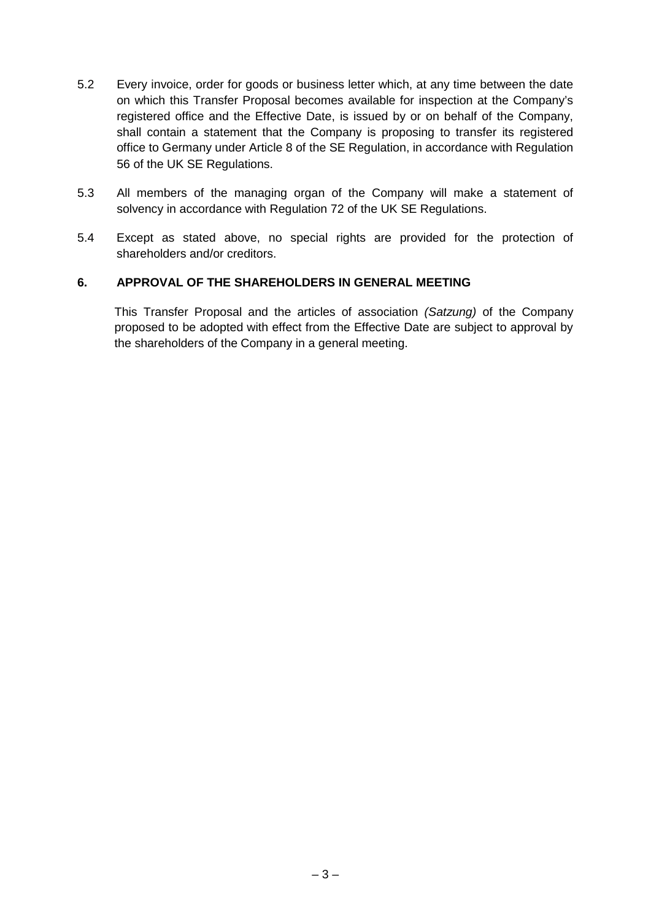- 5.2 Every invoice, order for goods or business letter which, at any time between the date on which this Transfer Proposal becomes available for inspection at the Company's registered office and the Effective Date, is issued by or on behalf of the Company, shall contain a statement that the Company is proposing to transfer its registered office to Germany under Article 8 of the SE Regulation, in accordance with Regulation 56 of the UK SE Regulations.
- 5.3 All members of the managing organ of the Company will make a statement of solvency in accordance with Regulation 72 of the UK SE Regulations.
- 5.4 Except as stated above, no special rights are provided for the protection of shareholders and/or creditors.

#### **6. APPROVAL OF THE SHAREHOLDERS IN GENERAL MEETING**

This Transfer Proposal and the articles of association *(Satzung)* of the Company proposed to be adopted with effect from the Effective Date are subject to approval by the shareholders of the Company in a general meeting.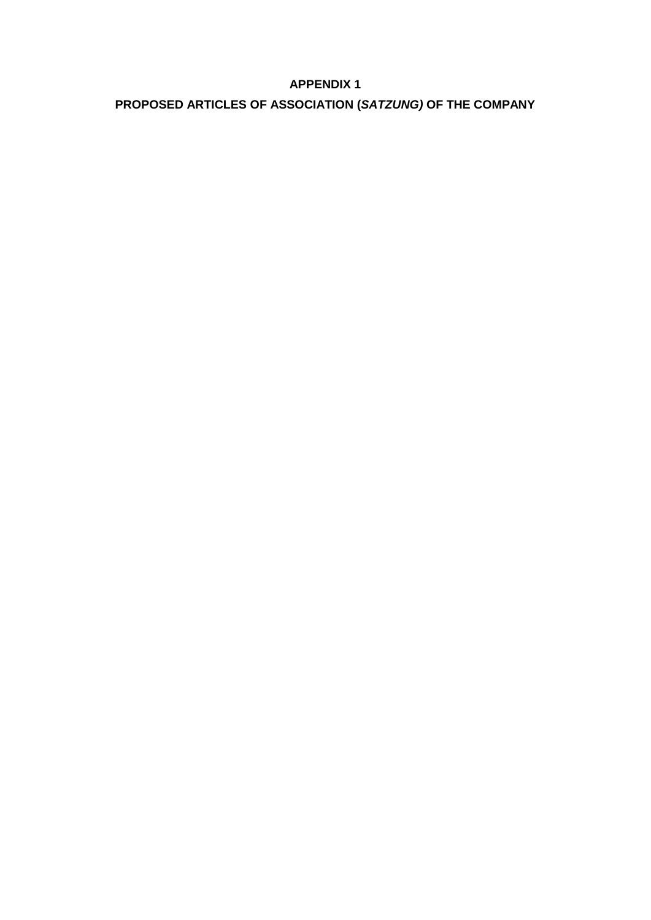## **APPENDIX 1**

# **PROPOSED ARTICLES OF ASSOCIATION (***SATZUNG)* **OF THE COMPANY**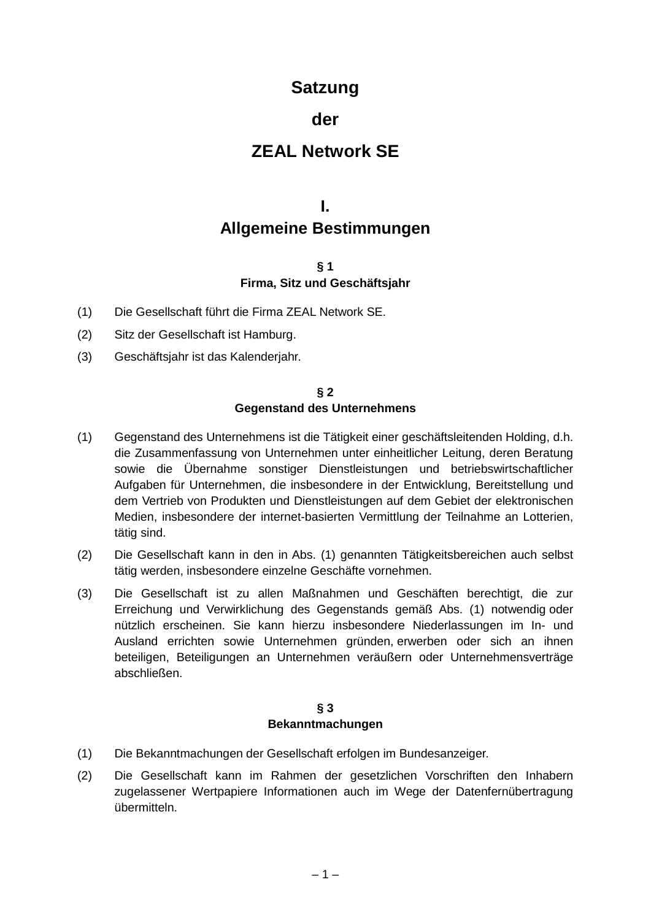## **Satzung**

## **der**

## **ZEAL Network SE**

## **I. Allgemeine Bestimmungen**

## **§ 1 Firma, Sitz und Geschäftsjahr**

- (1) Die Gesellschaft führt die Firma ZEAL Network SE.
- (2) Sitz der Gesellschaft ist Hamburg.
- (3) Geschäftsjahr ist das Kalenderjahr.

#### **§ 2 Gegenstand des Unternehmens**

- <span id="page-4-0"></span>(1) Gegenstand des Unternehmens ist die Tätigkeit einer geschäftsleitenden Holding, d.h. die Zusammenfassung von Unternehmen unter einheitlicher Leitung, deren Beratung sowie die Übernahme sonstiger Dienstleistungen und betriebswirtschaftlicher Aufgaben für Unternehmen, die insbesondere in der Entwicklung, Bereitstellung und dem Vertrieb von Produkten und Dienstleistungen auf dem Gebiet der elektronischen Medien, insbesondere der internet-basierten Vermittlung der Teilnahme an Lotterien, tätig sind.
- (2) Die Gesellschaft kann in den in Abs. [\(1\)](#page-4-0) genannten Tätigkeitsbereichen auch selbst tätig werden, insbesondere einzelne Geschäfte vornehmen.
- (3) Die Gesellschaft ist zu allen Maßnahmen und Geschäften berechtigt, die zur Erreichung und Verwirklichung des Gegenstands gemäß Abs. [\(1\)](#page-4-0) notwendig oder nützlich erscheinen. Sie kann hierzu insbesondere Niederlassungen im In- und Ausland errichten sowie Unternehmen gründen, erwerben oder sich an ihnen beteiligen, Beteiligungen an Unternehmen veräußern oder Unternehmensverträge abschließen.

## **§ 3 Bekanntmachungen**

- (1) Die Bekanntmachungen der Gesellschaft erfolgen im Bundesanzeiger.
- (2) Die Gesellschaft kann im Rahmen der gesetzlichen Vorschriften den Inhabern zugelassener Wertpapiere Informationen auch im Wege der Datenfernübertragung übermitteln.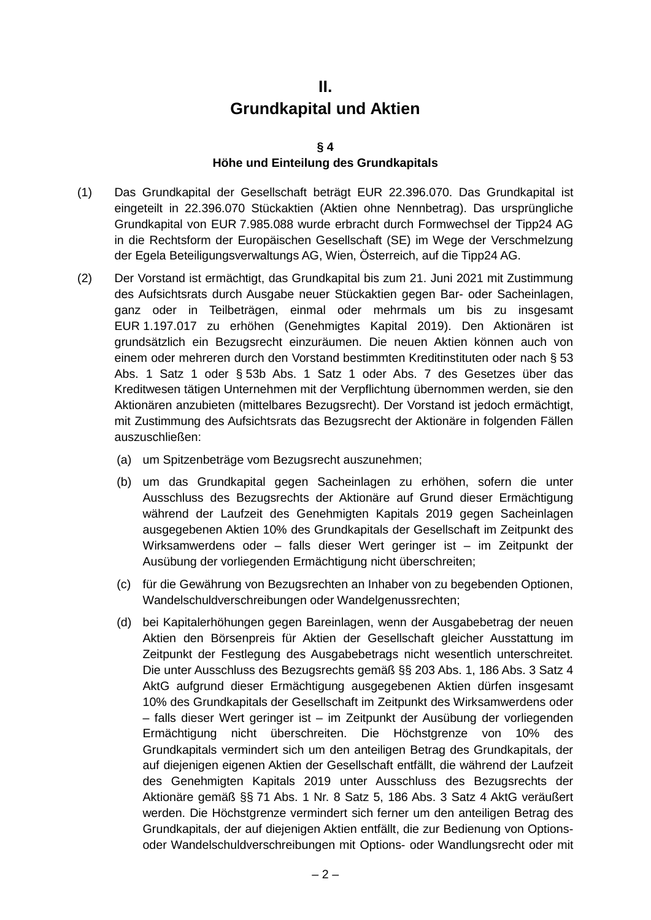# **II. Grundkapital und Aktien**

#### **§ 4**

## **Höhe und Einteilung des Grundkapitals**

- (1) Das Grundkapital der Gesellschaft beträgt EUR 22.396.070. Das Grundkapital ist eingeteilt in 22.396.070 Stückaktien (Aktien ohne Nennbetrag). Das ursprüngliche Grundkapital von EUR 7.985.088 wurde erbracht durch Formwechsel der Tipp24 AG in die Rechtsform der Europäischen Gesellschaft (SE) im Wege der Verschmelzung der Egela Beteiligungsverwaltungs AG, Wien, Österreich, auf die Tipp24 AG.
- (2) Der Vorstand ist ermächtigt, das Grundkapital bis zum 21. Juni 2021 mit Zustimmung des Aufsichtsrats durch Ausgabe neuer Stückaktien gegen Bar- oder Sacheinlagen, ganz oder in Teilbeträgen, einmal oder mehrmals um bis zu insgesamt EUR 1.197.017 zu erhöhen (Genehmigtes Kapital 2019). Den Aktionären ist grundsätzlich ein Bezugsrecht einzuräumen. Die neuen Aktien können auch von einem oder mehreren durch den Vorstand bestimmten Kreditinstituten oder nach § 53 Abs. 1 Satz 1 oder § 53b Abs. 1 Satz 1 oder Abs. 7 des Gesetzes über das Kreditwesen tätigen Unternehmen mit der Verpflichtung übernommen werden, sie den Aktionären anzubieten (mittelbares Bezugsrecht). Der Vorstand ist jedoch ermächtigt, mit Zustimmung des Aufsichtsrats das Bezugsrecht der Aktionäre in folgenden Fällen auszuschließen:
	- (a) um Spitzenbeträge vom Bezugsrecht auszunehmen;
	- (b) um das Grundkapital gegen Sacheinlagen zu erhöhen, sofern die unter Ausschluss des Bezugsrechts der Aktionäre auf Grund dieser Ermächtigung während der Laufzeit des Genehmigten Kapitals 2019 gegen Sacheinlagen ausgegebenen Aktien 10% des Grundkapitals der Gesellschaft im Zeitpunkt des Wirksamwerdens oder – falls dieser Wert geringer ist – im Zeitpunkt der Ausübung der vorliegenden Ermächtigung nicht überschreiten;
	- (c) für die Gewährung von Bezugsrechten an Inhaber von zu begebenden Optionen, Wandelschuldverschreibungen oder Wandelgenussrechten;
	- (d) bei Kapitalerhöhungen gegen Bareinlagen, wenn der Ausgabebetrag der neuen Aktien den Börsenpreis für Aktien der Gesellschaft gleicher Ausstattung im Zeitpunkt der Festlegung des Ausgabebetrags nicht wesentlich unterschreitet. Die unter Ausschluss des Bezugsrechts gemäß §§ 203 Abs. 1, 186 Abs. 3 Satz 4 AktG aufgrund dieser Ermächtigung ausgegebenen Aktien dürfen insgesamt 10% des Grundkapitals der Gesellschaft im Zeitpunkt des Wirksamwerdens oder – falls dieser Wert geringer ist – im Zeitpunkt der Ausübung der vorliegenden Ermächtigung nicht überschreiten. Die Höchstgrenze von 10% des Grundkapitals vermindert sich um den anteiligen Betrag des Grundkapitals, der auf diejenigen eigenen Aktien der Gesellschaft entfällt, die während der Laufzeit des Genehmigten Kapitals 2019 unter Ausschluss des Bezugsrechts der Aktionäre gemäß §§ 71 Abs. 1 Nr. 8 Satz 5, 186 Abs. 3 Satz 4 AktG veräußert werden. Die Höchstgrenze vermindert sich ferner um den anteiligen Betrag des Grundkapitals, der auf diejenigen Aktien entfällt, die zur Bedienung von Optionsoder Wandelschuldverschreibungen mit Options- oder Wandlungsrecht oder mit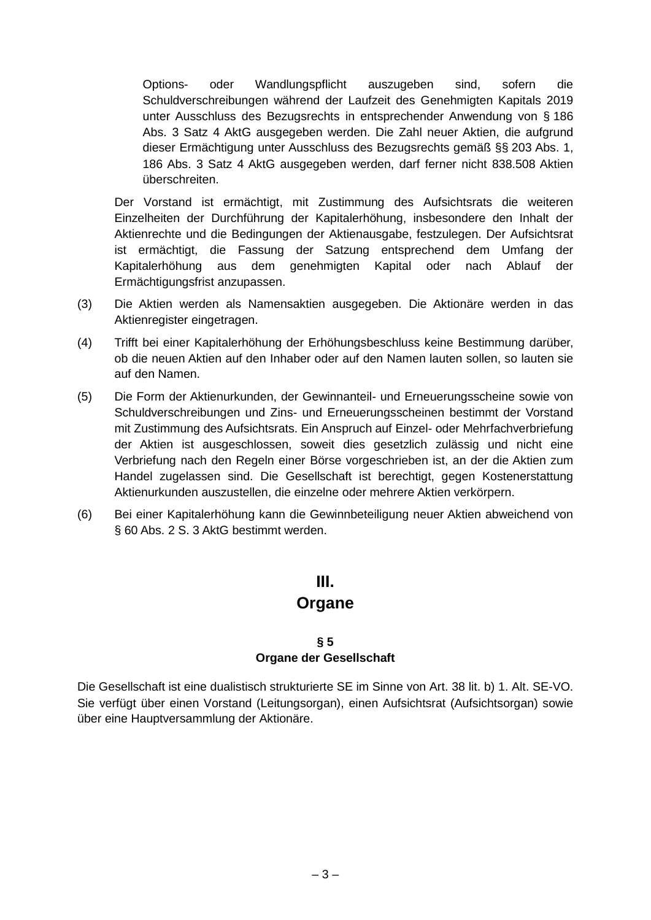Options- oder Wandlungspflicht auszugeben sind, sofern die Schuldverschreibungen während der Laufzeit des Genehmigten Kapitals 2019 unter Ausschluss des Bezugsrechts in entsprechender Anwendung von § 186 Abs. 3 Satz 4 AktG ausgegeben werden. Die Zahl neuer Aktien, die aufgrund dieser Ermächtigung unter Ausschluss des Bezugsrechts gemäß §§ 203 Abs. 1, 186 Abs. 3 Satz 4 AktG ausgegeben werden, darf ferner nicht 838.508 Aktien überschreiten.

Der Vorstand ist ermächtigt, mit Zustimmung des Aufsichtsrats die weiteren Einzelheiten der Durchführung der Kapitalerhöhung, insbesondere den Inhalt der Aktienrechte und die Bedingungen der Aktienausgabe, festzulegen. Der Aufsichtsrat ist ermächtigt, die Fassung der Satzung entsprechend dem Umfang der Kapitalerhöhung aus dem genehmigten Kapital oder nach Ablauf der Ermächtigungsfrist anzupassen.

- (3) Die Aktien werden als Namensaktien ausgegeben. Die Aktionäre werden in das Aktienregister eingetragen.
- (4) Trifft bei einer Kapitalerhöhung der Erhöhungsbeschluss keine Bestimmung darüber, ob die neuen Aktien auf den Inhaber oder auf den Namen lauten sollen, so lauten sie auf den Namen.
- (5) Die Form der Aktienurkunden, der Gewinnanteil- und Erneuerungsscheine sowie von Schuldverschreibungen und Zins- und Erneuerungsscheinen bestimmt der Vorstand mit Zustimmung des Aufsichtsrats. Ein Anspruch auf Einzel- oder Mehrfachverbriefung der Aktien ist ausgeschlossen, soweit dies gesetzlich zulässig und nicht eine Verbriefung nach den Regeln einer Börse vorgeschrieben ist, an der die Aktien zum Handel zugelassen sind. Die Gesellschaft ist berechtigt, gegen Kostenerstattung Aktienurkunden auszustellen, die einzelne oder mehrere Aktien verkörpern.
- (6) Bei einer Kapitalerhöhung kann die Gewinnbeteiligung neuer Aktien abweichend von § 60 Abs. 2 S. 3 AktG bestimmt werden.

# **III.**

## **Organe**

## **§ 5 Organe der Gesellschaft**

Die Gesellschaft ist eine dualistisch strukturierte SE im Sinne von Art. 38 lit. b) 1. Alt. SE-VO. Sie verfügt über einen Vorstand (Leitungsorgan), einen Aufsichtsrat (Aufsichtsorgan) sowie über eine Hauptversammlung der Aktionäre.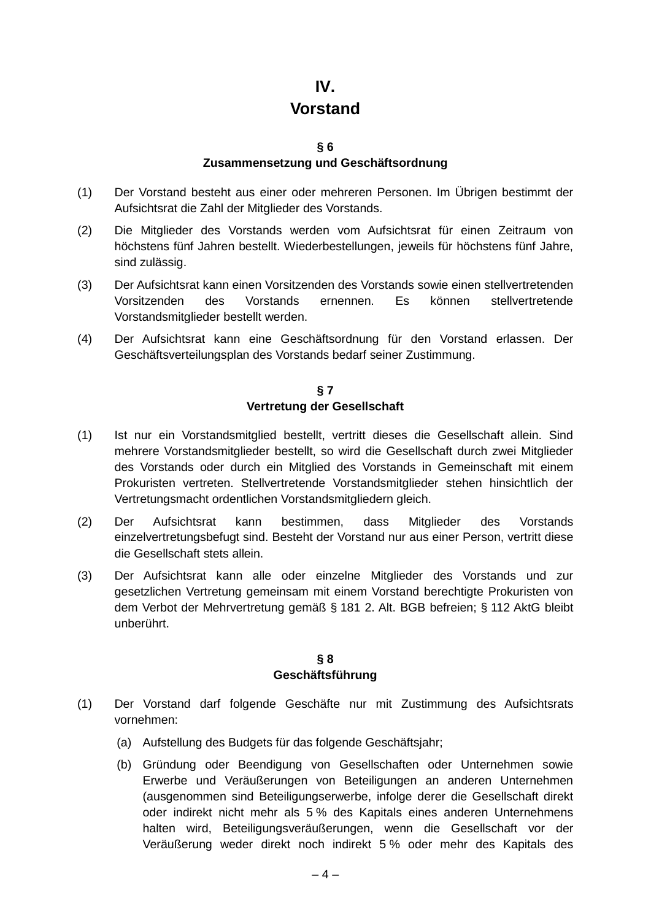## **IV.**

## **Vorstand**

#### **§ 6**

## **Zusammensetzung und Geschäftsordnung**

- (1) Der Vorstand besteht aus einer oder mehreren Personen. Im Übrigen bestimmt der Aufsichtsrat die Zahl der Mitglieder des Vorstands.
- (2) Die Mitglieder des Vorstands werden vom Aufsichtsrat für einen Zeitraum von höchstens fünf Jahren bestellt. Wiederbestellungen, jeweils für höchstens fünf Jahre, sind zulässig.
- (3) Der Aufsichtsrat kann einen Vorsitzenden des Vorstands sowie einen stellvertretenden Vorsitzenden des Vorstands ernennen. Es können stellvertretende Vorstandsmitglieder bestellt werden.
- (4) Der Aufsichtsrat kann eine Geschäftsordnung für den Vorstand erlassen. Der Geschäftsverteilungsplan des Vorstands bedarf seiner Zustimmung.

#### **§ 7 Vertretung der Gesellschaft**

- (1) Ist nur ein Vorstandsmitglied bestellt, vertritt dieses die Gesellschaft allein. Sind mehrere Vorstandsmitglieder bestellt, so wird die Gesellschaft durch zwei Mitglieder des Vorstands oder durch ein Mitglied des Vorstands in Gemeinschaft mit einem Prokuristen vertreten. Stellvertretende Vorstandsmitglieder stehen hinsichtlich der Vertretungsmacht ordentlichen Vorstandsmitgliedern gleich.
- (2) Der Aufsichtsrat kann bestimmen, dass Mitglieder des Vorstands einzelvertretungsbefugt sind. Besteht der Vorstand nur aus einer Person, vertritt diese die Gesellschaft stets allein.
- (3) Der Aufsichtsrat kann alle oder einzelne Mitglieder des Vorstands und zur gesetzlichen Vertretung gemeinsam mit einem Vorstand berechtigte Prokuristen von dem Verbot der Mehrvertretung gemäß § 181 2. Alt. BGB befreien; § 112 AktG bleibt unberührt.

### **§ 8 Geschäftsführung**

- (1) Der Vorstand darf folgende Geschäfte nur mit Zustimmung des Aufsichtsrats vornehmen:
	- (a) Aufstellung des Budgets für das folgende Geschäftsjahr;
	- (b) Gründung oder Beendigung von Gesellschaften oder Unternehmen sowie Erwerbe und Veräußerungen von Beteiligungen an anderen Unternehmen (ausgenommen sind Beteiligungserwerbe, infolge derer die Gesellschaft direkt oder indirekt nicht mehr als 5 % des Kapitals eines anderen Unternehmens halten wird, Beteiligungsveräußerungen, wenn die Gesellschaft vor der Veräußerung weder direkt noch indirekt 5 % oder mehr des Kapitals des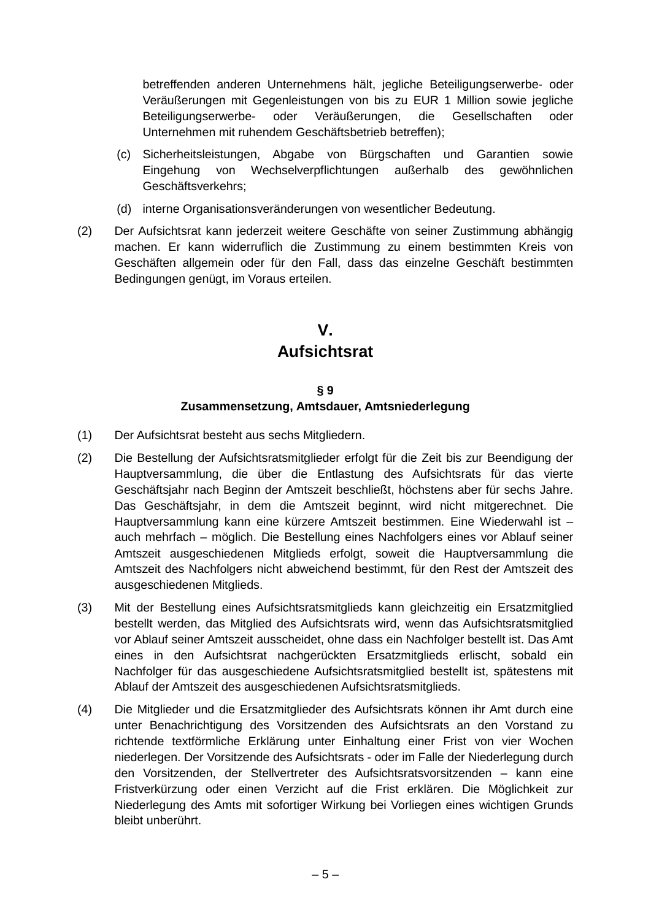betreffenden anderen Unternehmens hält, jegliche Beteiligungserwerbe- oder Veräußerungen mit Gegenleistungen von bis zu EUR 1 Million sowie jegliche Beteiligungserwerbe- oder Veräußerungen, die Gesellschaften oder Unternehmen mit ruhendem Geschäftsbetrieb betreffen);

- (c) Sicherheitsleistungen, Abgabe von Bürgschaften und Garantien sowie Eingehung von Wechselverpflichtungen außerhalb des gewöhnlichen Geschäftsverkehrs;
- (d) interne Organisationsveränderungen von wesentlicher Bedeutung.
- (2) Der Aufsichtsrat kann jederzeit weitere Geschäfte von seiner Zustimmung abhängig machen. Er kann widerruflich die Zustimmung zu einem bestimmten Kreis von Geschäften allgemein oder für den Fall, dass das einzelne Geschäft bestimmten Bedingungen genügt, im Voraus erteilen.

# **V. Aufsichtsrat**

## **§ 9 Zusammensetzung, Amtsdauer, Amtsniederlegung**

- <span id="page-8-0"></span>(1) Der Aufsichtsrat besteht aus sechs Mitgliedern.
- <span id="page-8-1"></span>(2) Die Bestellung der Aufsichtsratsmitglieder erfolgt für die Zeit bis zur Beendigung der Hauptversammlung, die über die Entlastung des Aufsichtsrats für das vierte Geschäftsjahr nach Beginn der Amtszeit beschließt, höchstens aber für sechs Jahre. Das Geschäftsjahr, in dem die Amtszeit beginnt, wird nicht mitgerechnet. Die Hauptversammlung kann eine kürzere Amtszeit bestimmen. Eine Wiederwahl ist – auch mehrfach – möglich. Die Bestellung eines Nachfolgers eines vor Ablauf seiner Amtszeit ausgeschiedenen Mitglieds erfolgt, soweit die Hauptversammlung die Amtszeit des Nachfolgers nicht abweichend bestimmt, für den Rest der Amtszeit des ausgeschiedenen Mitglieds.
- (3) Mit der Bestellung eines Aufsichtsratsmitglieds kann gleichzeitig ein Ersatzmitglied bestellt werden, das Mitglied des Aufsichtsrats wird, wenn das Aufsichtsratsmitglied vor Ablauf seiner Amtszeit ausscheidet, ohne dass ein Nachfolger bestellt ist. Das Amt eines in den Aufsichtsrat nachgerückten Ersatzmitglieds erlischt, sobald ein Nachfolger für das ausgeschiedene Aufsichtsratsmitglied bestellt ist, spätestens mit Ablauf der Amtszeit des ausgeschiedenen Aufsichtsratsmitglieds.
- (4) Die Mitglieder und die Ersatzmitglieder des Aufsichtsrats können ihr Amt durch eine unter Benachrichtigung des Vorsitzenden des Aufsichtsrats an den Vorstand zu richtende textförmliche Erklärung unter Einhaltung einer Frist von vier Wochen niederlegen. Der Vorsitzende des Aufsichtsrats - oder im Falle der Niederlegung durch den Vorsitzenden, der Stellvertreter des Aufsichtsratsvorsitzenden – kann eine Fristverkürzung oder einen Verzicht auf die Frist erklären. Die Möglichkeit zur Niederlegung des Amts mit sofortiger Wirkung bei Vorliegen eines wichtigen Grunds bleibt unberührt.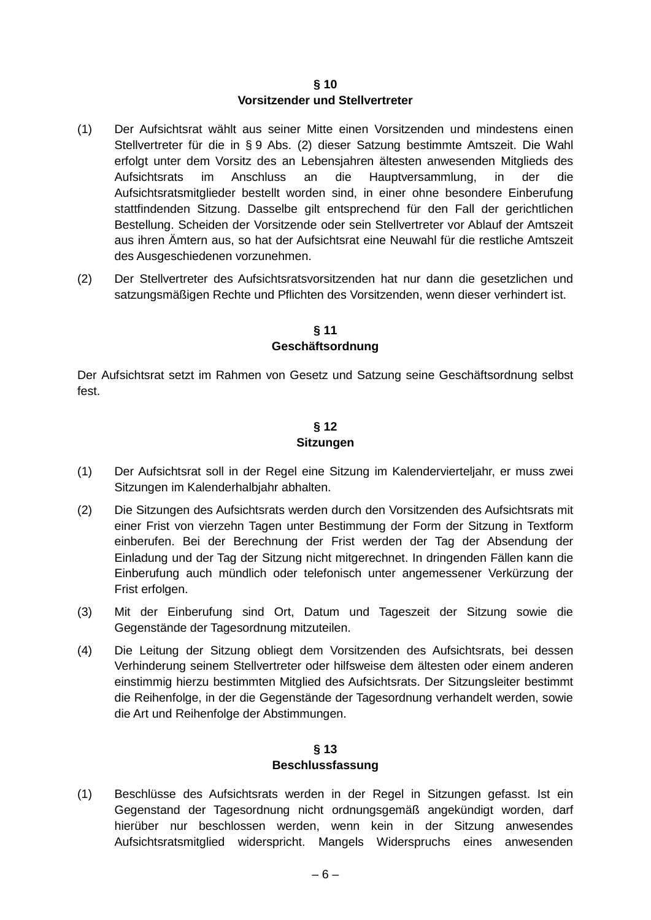#### **§ 10 Vorsitzender und Stellvertreter**

- (1) Der Aufsichtsrat wählt aus seiner Mitte einen Vorsitzenden und mindestens einen Stellvertreter für die in [§](#page-8-0) 9 Abs. [\(2\)](#page-8-1) dieser Satzung bestimmte Amtszeit. Die Wahl erfolgt unter dem Vorsitz des an Lebensjahren ältesten anwesenden Mitglieds des Aufsichtsrats im Anschluss an die Hauptversammlung, in der die Aufsichtsratsmitglieder bestellt worden sind, in einer ohne besondere Einberufung stattfindenden Sitzung. Dasselbe gilt entsprechend für den Fall der gerichtlichen Bestellung. Scheiden der Vorsitzende oder sein Stellvertreter vor Ablauf der Amtszeit aus ihren Ämtern aus, so hat der Aufsichtsrat eine Neuwahl für die restliche Amtszeit des Ausgeschiedenen vorzunehmen.
- (2) Der Stellvertreter des Aufsichtsratsvorsitzenden hat nur dann die gesetzlichen und satzungsmäßigen Rechte und Pflichten des Vorsitzenden, wenn dieser verhindert ist.

## **§ 11 Geschäftsordnung**

<span id="page-9-2"></span>Der Aufsichtsrat setzt im Rahmen von Gesetz und Satzung seine Geschäftsordnung selbst fest.

#### **§ 12 Sitzungen**

- <span id="page-9-0"></span>(1) Der Aufsichtsrat soll in der Regel eine Sitzung im Kalendervierteljahr, er muss zwei Sitzungen im Kalenderhalbjahr abhalten.
- <span id="page-9-3"></span>(2) Die Sitzungen des Aufsichtsrats werden durch den Vorsitzenden des Aufsichtsrats mit einer Frist von vierzehn Tagen unter Bestimmung der Form der Sitzung in Textform einberufen. Bei der Berechnung der Frist werden der Tag der Absendung der Einladung und der Tag der Sitzung nicht mitgerechnet. In dringenden Fällen kann die Einberufung auch mündlich oder telefonisch unter angemessener Verkürzung der Frist erfolgen.
- (3) Mit der Einberufung sind Ort, Datum und Tageszeit der Sitzung sowie die Gegenstände der Tagesordnung mitzuteilen.
- <span id="page-9-1"></span>(4) Die Leitung der Sitzung obliegt dem Vorsitzenden des Aufsichtsrats, bei dessen Verhinderung seinem Stellvertreter oder hilfsweise dem ältesten oder einem anderen einstimmig hierzu bestimmten Mitglied des Aufsichtsrats. Der Sitzungsleiter bestimmt die Reihenfolge, in der die Gegenstände der Tagesordnung verhandelt werden, sowie die Art und Reihenfolge der Abstimmungen.

#### **§ 13 Beschlussfassung**

<span id="page-9-5"></span><span id="page-9-4"></span>(1) Beschlüsse des Aufsichtsrats werden in der Regel in Sitzungen gefasst. Ist ein Gegenstand der Tagesordnung nicht ordnungsgemäß angekündigt worden, darf hierüber nur beschlossen werden, wenn kein in der Sitzung anwesendes Aufsichtsratsmitglied widerspricht. Mangels Widerspruchs eines anwesenden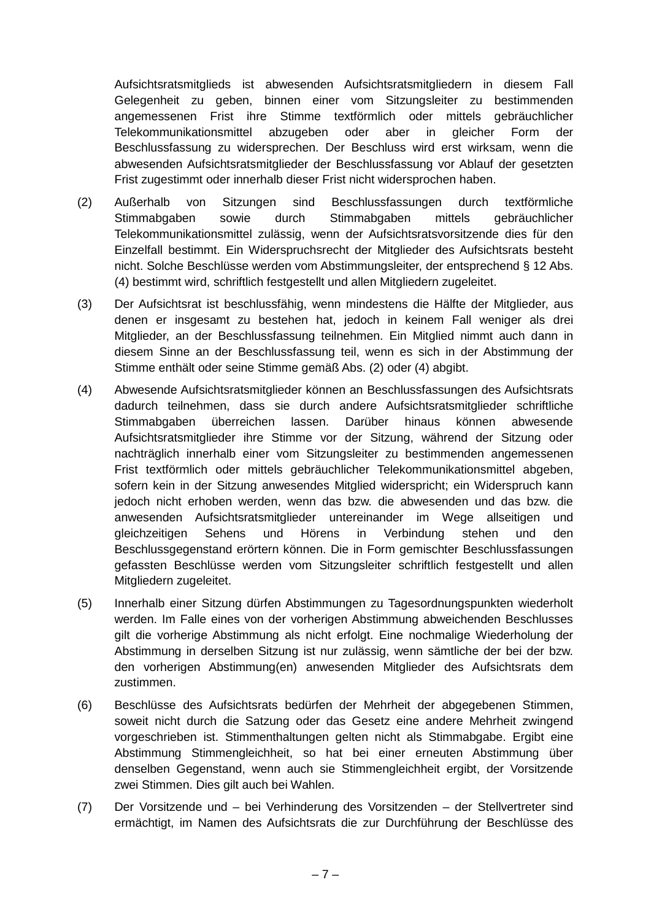Aufsichtsratsmitglieds ist abwesenden Aufsichtsratsmitgliedern in diesem Fall Gelegenheit zu geben, binnen einer vom Sitzungsleiter zu bestimmenden angemessenen Frist ihre Stimme textförmlich oder mittels gebräuchlicher Telekommunikationsmittel abzugeben oder aber in gleicher Form der Beschlussfassung zu widersprechen. Der Beschluss wird erst wirksam, wenn die abwesenden Aufsichtsratsmitglieder der Beschlussfassung vor Ablauf der gesetzten Frist zugestimmt oder innerhalb dieser Frist nicht widersprochen haben.

- <span id="page-10-0"></span>(2) Außerhalb von Sitzungen sind Beschlussfassungen durch textförmliche Stimmabgaben sowie durch Stimmabgaben mittels gebräuchlicher Telekommunikationsmittel zulässig, wenn der Aufsichtsratsvorsitzende dies für den Einzelfall bestimmt. Ein Widerspruchsrecht der Mitglieder des Aufsichtsrats besteht nicht. Solche Beschlüsse werden vom Abstimmungsleiter, der entsprechend § [12](#page-9-0) Abs. [\(4\)](#page-9-1) bestimmt wird, schriftlich festgestellt und allen Mitgliedern zugeleitet.
- (3) Der Aufsichtsrat ist beschlussfähig, wenn mindestens die Hälfte der Mitglieder, aus denen er insgesamt zu bestehen hat, jedoch in keinem Fall weniger als drei Mitglieder, an der Beschlussfassung teilnehmen. Ein Mitglied nimmt auch dann in diesem Sinne an der Beschlussfassung teil, wenn es sich in der Abstimmung der Stimme enthält oder seine Stimme gemäß Abs. [\(2\)](#page-10-0) oder [\(4\)](#page-10-1) abgibt.
- <span id="page-10-1"></span>(4) Abwesende Aufsichtsratsmitglieder können an Beschlussfassungen des Aufsichtsrats dadurch teilnehmen, dass sie durch andere Aufsichtsratsmitglieder schriftliche Stimmabgaben überreichen lassen. Darüber hinaus können abwesende Aufsichtsratsmitglieder ihre Stimme vor der Sitzung, während der Sitzung oder nachträglich innerhalb einer vom Sitzungsleiter zu bestimmenden angemessenen Frist textförmlich oder mittels gebräuchlicher Telekommunikationsmittel abgeben, sofern kein in der Sitzung anwesendes Mitglied widerspricht; ein Widerspruch kann jedoch nicht erhoben werden, wenn das bzw. die abwesenden und das bzw. die anwesenden Aufsichtsratsmitglieder untereinander im Wege allseitigen und gleichzeitigen Sehens und Hörens in Verbindung stehen und den Beschlussgegenstand erörtern können. Die in Form gemischter Beschlussfassungen gefassten Beschlüsse werden vom Sitzungsleiter schriftlich festgestellt und allen Mitgliedern zugeleitet.
- (5) Innerhalb einer Sitzung dürfen Abstimmungen zu Tagesordnungspunkten wiederholt werden. Im Falle eines von der vorherigen Abstimmung abweichenden Beschlusses gilt die vorherige Abstimmung als nicht erfolgt. Eine nochmalige Wiederholung der Abstimmung in derselben Sitzung ist nur zulässig, wenn sämtliche der bei der bzw. den vorherigen Abstimmung(en) anwesenden Mitglieder des Aufsichtsrats dem zustimmen.
- <span id="page-10-2"></span>(6) Beschlüsse des Aufsichtsrats bedürfen der Mehrheit der abgegebenen Stimmen, soweit nicht durch die Satzung oder das Gesetz eine andere Mehrheit zwingend vorgeschrieben ist. Stimmenthaltungen gelten nicht als Stimmabgabe. Ergibt eine Abstimmung Stimmengleichheit, so hat bei einer erneuten Abstimmung über denselben Gegenstand, wenn auch sie Stimmengleichheit ergibt, der Vorsitzende zwei Stimmen. Dies gilt auch bei Wahlen.
- (7) Der Vorsitzende und bei Verhinderung des Vorsitzenden der Stellvertreter sind ermächtigt, im Namen des Aufsichtsrats die zur Durchführung der Beschlüsse des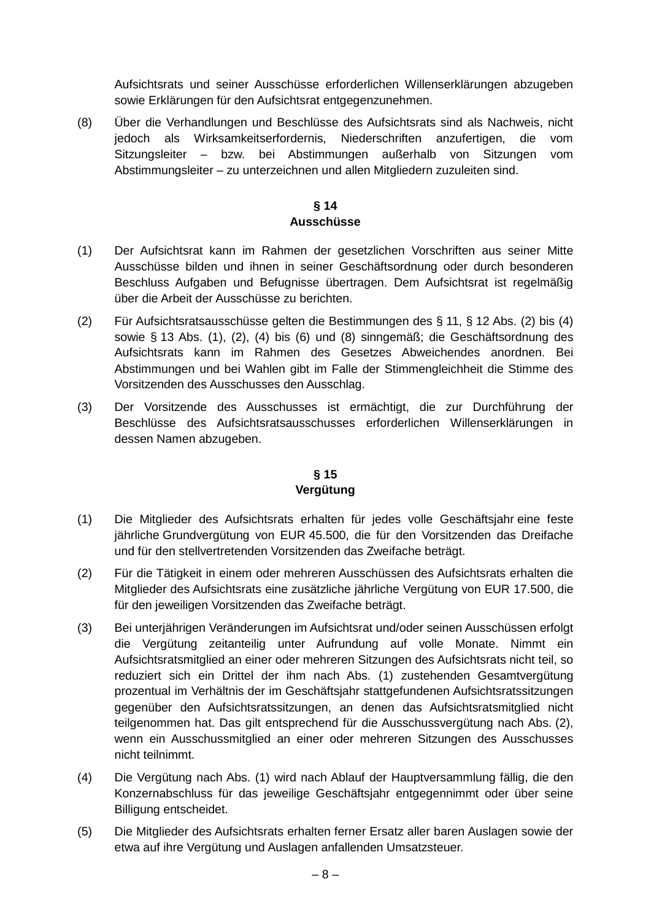Aufsichtsrats und seiner Ausschüsse erforderlichen Willenserklärungen abzugeben sowie Erklärungen für den Aufsichtsrat entgegenzunehmen.

<span id="page-11-0"></span>(8) Über die Verhandlungen und Beschlüsse des Aufsichtsrats sind als Nachweis, nicht jedoch als Wirksamkeitserfordernis, Niederschriften anzufertigen, die vom Sitzungsleiter – bzw. bei Abstimmungen außerhalb von Sitzungen vom Abstimmungsleiter – zu unterzeichnen und allen Mitgliedern zuzuleiten sind.

## **§ 14 Ausschüsse**

- (1) Der Aufsichtsrat kann im Rahmen der gesetzlichen Vorschriften aus seiner Mitte Ausschüsse bilden und ihnen in seiner Geschäftsordnung oder durch besonderen Beschluss Aufgaben und Befugnisse übertragen. Dem Aufsichtsrat ist regelmäßig über die Arbeit der Ausschüsse zu berichten.
- (2) Für Aufsichtsratsausschüsse gelten die Bestimmungen des § [11,](#page-9-2) § [12](#page-9-0) Abs. [\(2\)](#page-9-3) bis [\(4\)](#page-9-1) sowie § [13](#page-9-4) Abs. [\(1\),](#page-9-5) [\(2\),](#page-10-0) [\(4\)](#page-10-1) bis [\(6\)](#page-10-2) und [\(8\)](#page-11-0) sinngemäß; die Geschäftsordnung des Aufsichtsrats kann im Rahmen des Gesetzes Abweichendes anordnen. Bei Abstimmungen und bei Wahlen gibt im Falle der Stimmengleichheit die Stimme des Vorsitzenden des Ausschusses den Ausschlag.
- (3) Der Vorsitzende des Ausschusses ist ermächtigt, die zur Durchführung der Beschlüsse des Aufsichtsratsausschusses erforderlichen Willenserklärungen in dessen Namen abzugeben.

## **§ 15 Vergütung**

- <span id="page-11-1"></span>(1) Die Mitglieder des Aufsichtsrats erhalten für jedes volle Geschäftsjahr eine feste jährliche Grundvergütung von EUR 45.500, die für den Vorsitzenden das Dreifache und für den stellvertretenden Vorsitzenden das Zweifache beträgt.
- <span id="page-11-2"></span>(2) Für die Tätigkeit in einem oder mehreren Ausschüssen des Aufsichtsrats erhalten die Mitglieder des Aufsichtsrats eine zusätzliche jährliche Vergütung von EUR 17.500, die für den jeweiligen Vorsitzenden das Zweifache beträgt.
- (3) Bei unterjährigen Veränderungen im Aufsichtsrat und/oder seinen Ausschüssen erfolgt die Vergütung zeitanteilig unter Aufrundung auf volle Monate. Nimmt ein Aufsichtsratsmitglied an einer oder mehreren Sitzungen des Aufsichtsrats nicht teil, so reduziert sich ein Drittel der ihm nach Abs. [\(1\)](#page-11-1) zustehenden Gesamtvergütung prozentual im Verhältnis der im Geschäftsjahr stattgefundenen Aufsichtsratssitzungen gegenüber den Aufsichtsratssitzungen, an denen das Aufsichtsratsmitglied nicht teilgenommen hat. Das gilt entsprechend für die Ausschussvergütung nach Abs. [\(2\),](#page-11-2) wenn ein Ausschussmitglied an einer oder mehreren Sitzungen des Ausschusses nicht teilnimmt.
- (4) Die Vergütung nach Abs. [\(1\)](#page-11-1) wird nach Ablauf der Hauptversammlung fällig, die den Konzernabschluss für das jeweilige Geschäftsjahr entgegennimmt oder über seine Billigung entscheidet.
- (5) Die Mitglieder des Aufsichtsrats erhalten ferner Ersatz aller baren Auslagen sowie der etwa auf ihre Vergütung und Auslagen anfallenden Umsatzsteuer.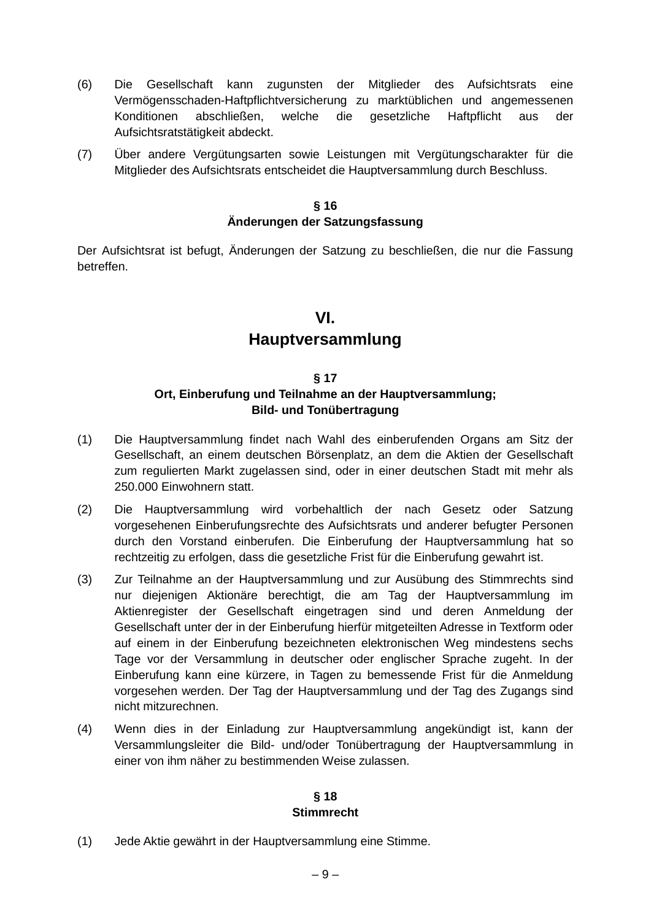- (6) Die Gesellschaft kann zugunsten der Mitglieder des Aufsichtsrats eine Vermögensschaden-Haftpflichtversicherung zu marktüblichen und angemessenen Konditionen abschließen, welche die gesetzliche Haftpflicht aus der Aufsichtsratstätigkeit abdeckt.
- (7) Über andere Vergütungsarten sowie Leistungen mit Vergütungscharakter für die Mitglieder des Aufsichtsrats entscheidet die Hauptversammlung durch Beschluss.

## **§ 16**

## **Änderungen der Satzungsfassung**

Der Aufsichtsrat ist befugt, Änderungen der Satzung zu beschließen, die nur die Fassung betreffen.

## **VI.**

## **Hauptversammlung**

## **§ 17**

## **Ort, Einberufung und Teilnahme an der Hauptversammlung; Bild- und Tonübertragung**

- (1) Die Hauptversammlung findet nach Wahl des einberufenden Organs am Sitz der Gesellschaft, an einem deutschen Börsenplatz, an dem die Aktien der Gesellschaft zum regulierten Markt zugelassen sind, oder in einer deutschen Stadt mit mehr als 250.000 Einwohnern statt.
- (2) Die Hauptversammlung wird vorbehaltlich der nach Gesetz oder Satzung vorgesehenen Einberufungsrechte des Aufsichtsrats und anderer befugter Personen durch den Vorstand einberufen. Die Einberufung der Hauptversammlung hat so rechtzeitig zu erfolgen, dass die gesetzliche Frist für die Einberufung gewahrt ist.
- (3) Zur Teilnahme an der Hauptversammlung und zur Ausübung des Stimmrechts sind nur diejenigen Aktionäre berechtigt, die am Tag der Hauptversammlung im Aktienregister der Gesellschaft eingetragen sind und deren Anmeldung der Gesellschaft unter der in der Einberufung hierfür mitgeteilten Adresse in Textform oder auf einem in der Einberufung bezeichneten elektronischen Weg mindestens sechs Tage vor der Versammlung in deutscher oder englischer Sprache zugeht. In der Einberufung kann eine kürzere, in Tagen zu bemessende Frist für die Anmeldung vorgesehen werden. Der Tag der Hauptversammlung und der Tag des Zugangs sind nicht mitzurechnen.
- (4) Wenn dies in der Einladung zur Hauptversammlung angekündigt ist, kann der Versammlungsleiter die Bild- und/oder Tonübertragung der Hauptversammlung in einer von ihm näher zu bestimmenden Weise zulassen.

## **§ 18 Stimmrecht**

(1) Jede Aktie gewährt in der Hauptversammlung eine Stimme.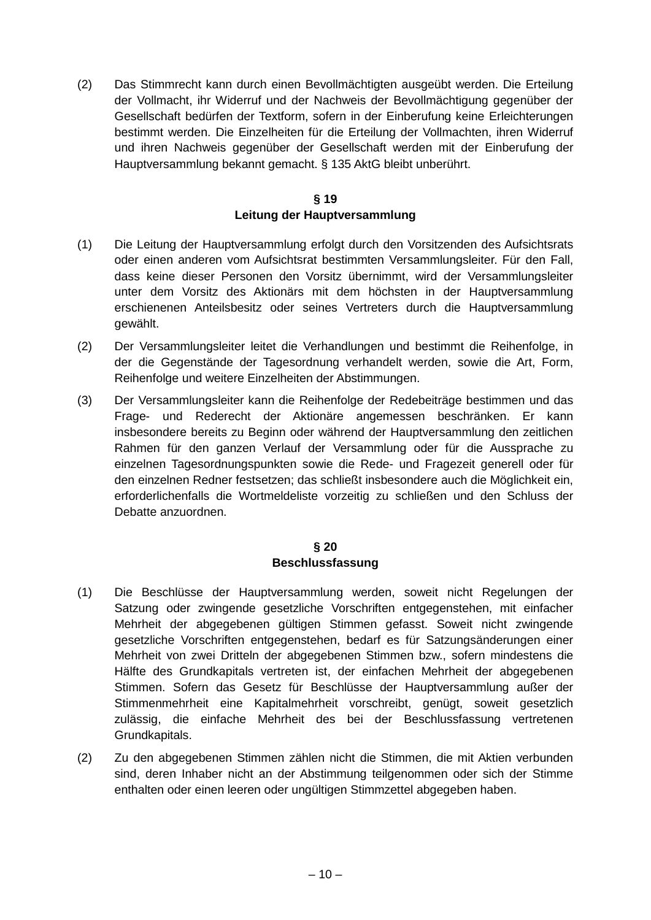(2) Das Stimmrecht kann durch einen Bevollmächtigten ausgeübt werden. Die Erteilung der Vollmacht, ihr Widerruf und der Nachweis der Bevollmächtigung gegenüber der Gesellschaft bedürfen der Textform, sofern in der Einberufung keine Erleichterungen bestimmt werden. Die Einzelheiten für die Erteilung der Vollmachten, ihren Widerruf und ihren Nachweis gegenüber der Gesellschaft werden mit der Einberufung der Hauptversammlung bekannt gemacht. § 135 AktG bleibt unberührt.

## **§ 19 Leitung der Hauptversammlung**

- (1) Die Leitung der Hauptversammlung erfolgt durch den Vorsitzenden des Aufsichtsrats oder einen anderen vom Aufsichtsrat bestimmten Versammlungsleiter. Für den Fall, dass keine dieser Personen den Vorsitz übernimmt, wird der Versammlungsleiter unter dem Vorsitz des Aktionärs mit dem höchsten in der Hauptversammlung erschienenen Anteilsbesitz oder seines Vertreters durch die Hauptversammlung gewählt.
- (2) Der Versammlungsleiter leitet die Verhandlungen und bestimmt die Reihenfolge, in der die Gegenstände der Tagesordnung verhandelt werden, sowie die Art, Form, Reihenfolge und weitere Einzelheiten der Abstimmungen.
- (3) Der Versammlungsleiter kann die Reihenfolge der Redebeiträge bestimmen und das Frage- und Rederecht der Aktionäre angemessen beschränken. Er kann insbesondere bereits zu Beginn oder während der Hauptversammlung den zeitlichen Rahmen für den ganzen Verlauf der Versammlung oder für die Aussprache zu einzelnen Tagesordnungspunkten sowie die Rede- und Fragezeit generell oder für den einzelnen Redner festsetzen; das schließt insbesondere auch die Möglichkeit ein, erforderlichenfalls die Wortmeldeliste vorzeitig zu schließen und den Schluss der Debatte anzuordnen.

## **§ 20**

## **Beschlussfassung**

- (1) Die Beschlüsse der Hauptversammlung werden, soweit nicht Regelungen der Satzung oder zwingende gesetzliche Vorschriften entgegenstehen, mit einfacher Mehrheit der abgegebenen gültigen Stimmen gefasst. Soweit nicht zwingende gesetzliche Vorschriften entgegenstehen, bedarf es für Satzungsänderungen einer Mehrheit von zwei Dritteln der abgegebenen Stimmen bzw., sofern mindestens die Hälfte des Grundkapitals vertreten ist, der einfachen Mehrheit der abgegebenen Stimmen. Sofern das Gesetz für Beschlüsse der Hauptversammlung außer der Stimmenmehrheit eine Kapitalmehrheit vorschreibt, genügt, soweit gesetzlich zulässig, die einfache Mehrheit des bei der Beschlussfassung vertretenen Grundkapitals.
- (2) Zu den abgegebenen Stimmen zählen nicht die Stimmen, die mit Aktien verbunden sind, deren Inhaber nicht an der Abstimmung teilgenommen oder sich der Stimme enthalten oder einen leeren oder ungültigen Stimmzettel abgegeben haben.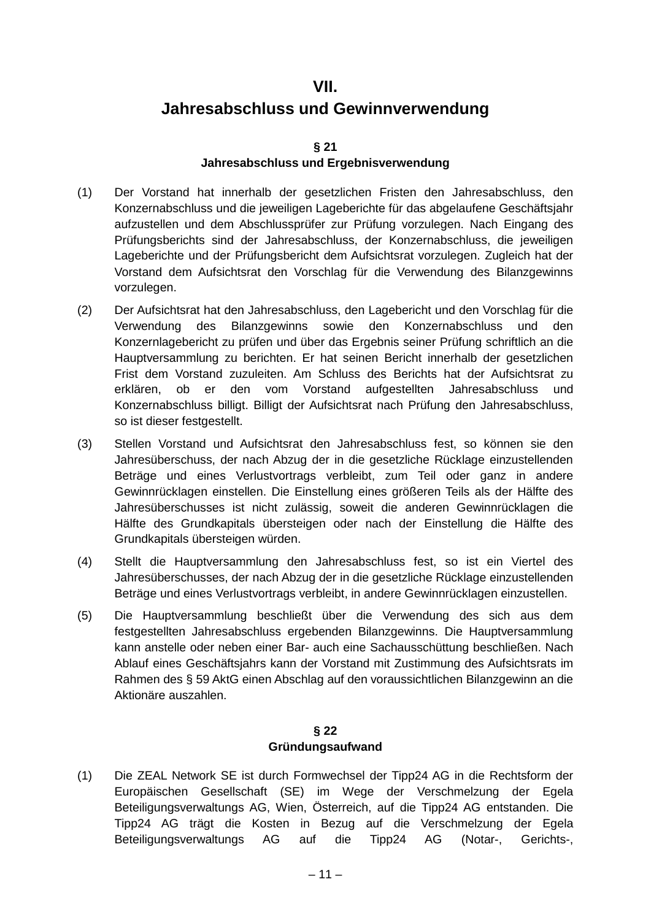## **VII.**

## **Jahresabschluss und Gewinnverwendung**

#### **§ 21**

## **Jahresabschluss und Ergebnisverwendung**

- (1) Der Vorstand hat innerhalb der gesetzlichen Fristen den Jahresabschluss, den Konzernabschluss und die jeweiligen Lageberichte für das abgelaufene Geschäftsjahr aufzustellen und dem Abschlussprüfer zur Prüfung vorzulegen. Nach Eingang des Prüfungsberichts sind der Jahresabschluss, der Konzernabschluss, die jeweiligen Lageberichte und der Prüfungsbericht dem Aufsichtsrat vorzulegen. Zugleich hat der Vorstand dem Aufsichtsrat den Vorschlag für die Verwendung des Bilanzgewinns vorzulegen.
- (2) Der Aufsichtsrat hat den Jahresabschluss, den Lagebericht und den Vorschlag für die Verwendung des Bilanzgewinns sowie den Konzernabschluss und den Konzernlagebericht zu prüfen und über das Ergebnis seiner Prüfung schriftlich an die Hauptversammlung zu berichten. Er hat seinen Bericht innerhalb der gesetzlichen Frist dem Vorstand zuzuleiten. Am Schluss des Berichts hat der Aufsichtsrat zu erklären, ob er den vom Vorstand aufgestellten Jahresabschluss und Konzernabschluss billigt. Billigt der Aufsichtsrat nach Prüfung den Jahresabschluss, so ist dieser festgestellt.
- (3) Stellen Vorstand und Aufsichtsrat den Jahresabschluss fest, so können sie den Jahresüberschuss, der nach Abzug der in die gesetzliche Rücklage einzustellenden Beträge und eines Verlustvortrags verbleibt, zum Teil oder ganz in andere Gewinnrücklagen einstellen. Die Einstellung eines größeren Teils als der Hälfte des Jahresüberschusses ist nicht zulässig, soweit die anderen Gewinnrücklagen die Hälfte des Grundkapitals übersteigen oder nach der Einstellung die Hälfte des Grundkapitals übersteigen würden.
- (4) Stellt die Hauptversammlung den Jahresabschluss fest, so ist ein Viertel des Jahresüberschusses, der nach Abzug der in die gesetzliche Rücklage einzustellenden Beträge und eines Verlustvortrags verbleibt, in andere Gewinnrücklagen einzustellen.
- (5) Die Hauptversammlung beschließt über die Verwendung des sich aus dem festgestellten Jahresabschluss ergebenden Bilanzgewinns. Die Hauptversammlung kann anstelle oder neben einer Bar- auch eine Sachausschüttung beschließen. Nach Ablauf eines Geschäftsjahrs kann der Vorstand mit Zustimmung des Aufsichtsrats im Rahmen des § 59 AktG einen Abschlag auf den voraussichtlichen Bilanzgewinn an die Aktionäre auszahlen.

## **§ 22 Gründungsaufwand**

(1) Die ZEAL Network SE ist durch Formwechsel der Tipp24 AG in die Rechtsform der Europäischen Gesellschaft (SE) im Wege der Verschmelzung der Egela Beteiligungsverwaltungs AG, Wien, Österreich, auf die Tipp24 AG entstanden. Die Tipp24 AG trägt die Kosten in Bezug auf die Verschmelzung der Egela Beteiligungsverwaltungs AG auf die Tipp24 AG (Notar-, Gerichts-,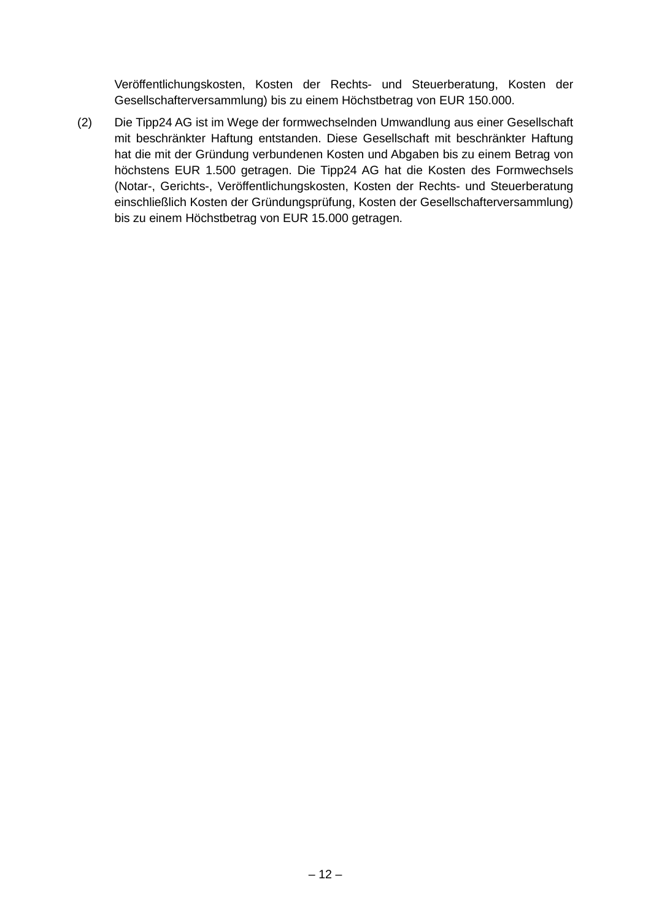Veröffentlichungskosten, Kosten der Rechts- und Steuerberatung, Kosten der Gesellschafterversammlung) bis zu einem Höchstbetrag von EUR 150.000.

(2) Die Tipp24 AG ist im Wege der formwechselnden Umwandlung aus einer Gesellschaft mit beschränkter Haftung entstanden. Diese Gesellschaft mit beschränkter Haftung hat die mit der Gründung verbundenen Kosten und Abgaben bis zu einem Betrag von höchstens EUR 1.500 getragen. Die Tipp24 AG hat die Kosten des Formwechsels (Notar-, Gerichts-, Veröffentlichungskosten, Kosten der Rechts- und Steuerberatung einschließlich Kosten der Gründungsprüfung, Kosten der Gesellschafterversammlung) bis zu einem Höchstbetrag von EUR 15.000 getragen.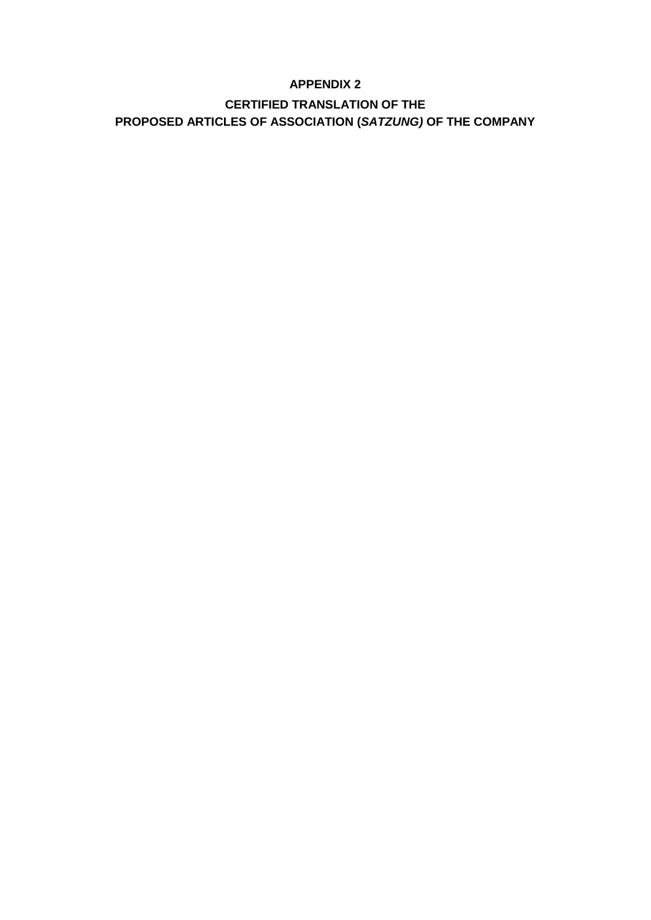## **APPENDIX 2**

## **CERTIFIED TRANSLATION OF THE PROPOSED ARTICLES OF ASSOCIATION (***SATZUNG)* **OF THE COMPANY**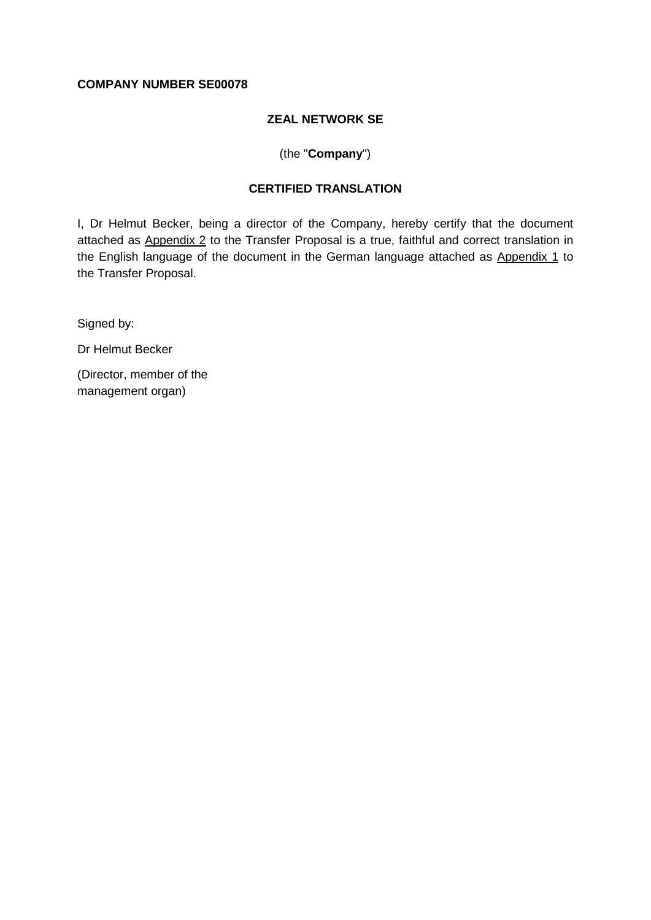#### **COMPANY NUMBER SE00078**

#### **ZEAL NETWORK SE**

#### (the "**Company**")

## **CERTIFIED TRANSLATION**

I, Dr Helmut Becker, being a director of the Company, hereby certify that the document attached as Appendix 2 to the Transfer Proposal is a true, faithful and correct translation in the English language of the document in the German language attached as Appendix 1 to the Transfer Proposal.

Signed by:

Dr Helmut Becker

(Director, member of the management organ)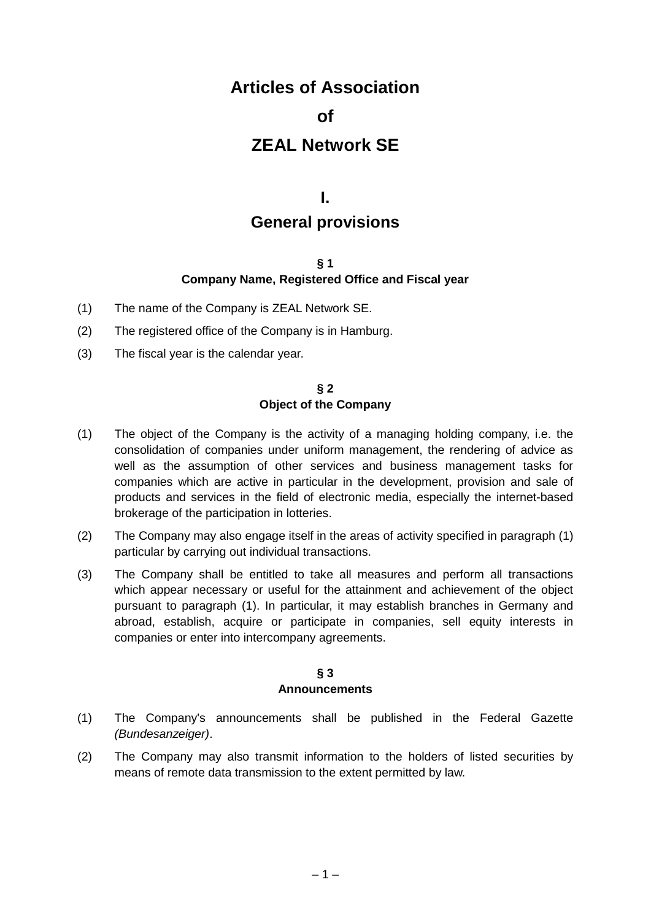## **Articles of Association**

## **of**

## **ZEAL Network SE**

## **I.**

## **General provisions**

## **§ 1**

## **Company Name, Registered Office and Fiscal year**

- (1) The name of the Company is ZEAL Network SE.
- (2) The registered office of the Company is in Hamburg.
- (3) The fiscal year is the calendar year.

#### **§ 2 Object of the Company**

- (1) The object of the Company is the activity of a managing holding company, i.e. the consolidation of companies under uniform management, the rendering of advice as well as the assumption of other services and business management tasks for companies which are active in particular in the development, provision and sale of products and services in the field of electronic media, especially the internet-based brokerage of the participation in lotteries.
- (2) The Company may also engage itself in the areas of activity specified in paragraph [\(1\)](#page-4-0) particular by carrying out individual transactions.
- (3) The Company shall be entitled to take all measures and perform all transactions which appear necessary or useful for the attainment and achievement of the object pursuant to paragraph [\(1\).](#page-4-0) In particular, it may establish branches in Germany and abroad, establish, acquire or participate in companies, sell equity interests in companies or enter into intercompany agreements.

#### **§ 3 Announcements**

- (1) The Company's announcements shall be published in the Federal Gazette *(Bundesanzeiger)*.
- (2) The Company may also transmit information to the holders of listed securities by means of remote data transmission to the extent permitted by law.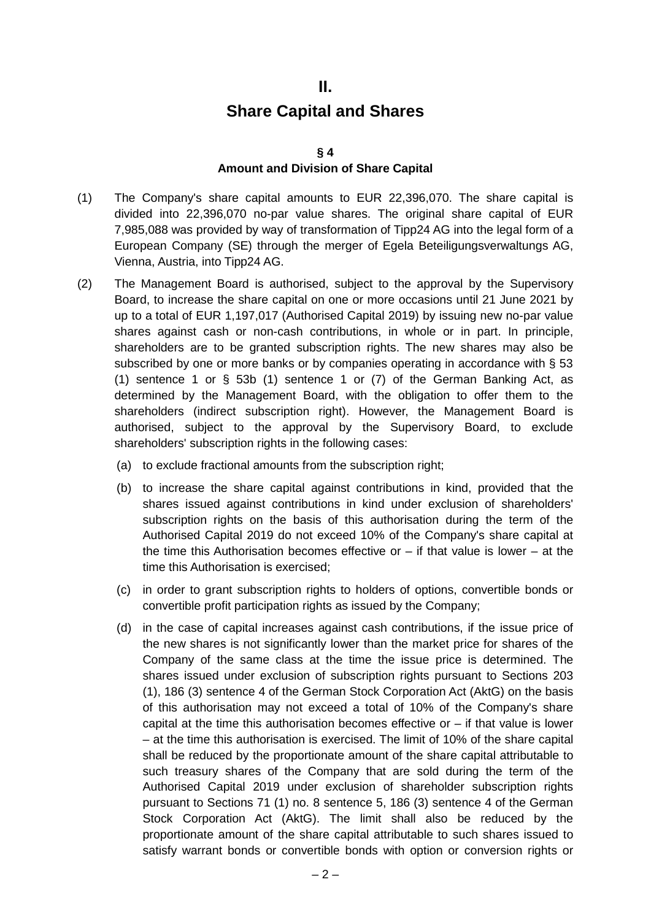## **II.**

## **Share Capital and Shares**

#### **§ 4**

#### **Amount and Division of Share Capital**

- (1) The Company's share capital amounts to EUR 22,396,070. The share capital is divided into 22,396,070 no-par value shares. The original share capital of EUR 7,985,088 was provided by way of transformation of Tipp24 AG into the legal form of a European Company (SE) through the merger of Egela Beteiligungsverwaltungs AG, Vienna, Austria, into Tipp24 AG.
- (2) The Management Board is authorised, subject to the approval by the Supervisory Board, to increase the share capital on one or more occasions until 21 June 2021 by up to a total of EUR 1,197,017 (Authorised Capital 2019) by issuing new no-par value shares against cash or non-cash contributions, in whole or in part. In principle, shareholders are to be granted subscription rights. The new shares may also be subscribed by one or more banks or by companies operating in accordance with § 53 (1) sentence 1 or  $\S$  53b (1) sentence 1 or (7) of the German Banking Act, as determined by the Management Board, with the obligation to offer them to the shareholders (indirect subscription right). However, the Management Board is authorised, subject to the approval by the Supervisory Board, to exclude shareholders' subscription rights in the following cases:
	- (a) to exclude fractional amounts from the subscription right;
	- (b) to increase the share capital against contributions in kind, provided that the shares issued against contributions in kind under exclusion of shareholders' subscription rights on the basis of this authorisation during the term of the Authorised Capital 2019 do not exceed 10% of the Company's share capital at the time this Authorisation becomes effective or  $-$  if that value is lower  $-$  at the time this Authorisation is exercised;
	- (c) in order to grant subscription rights to holders of options, convertible bonds or convertible profit participation rights as issued by the Company;
	- (d) in the case of capital increases against cash contributions, if the issue price of the new shares is not significantly lower than the market price for shares of the Company of the same class at the time the issue price is determined. The shares issued under exclusion of subscription rights pursuant to Sections 203 (1), 186 (3) sentence 4 of the German Stock Corporation Act (AktG) on the basis of this authorisation may not exceed a total of 10% of the Company's share capital at the time this authorisation becomes effective or  $-$  if that value is lower – at the time this authorisation is exercised. The limit of 10% of the share capital shall be reduced by the proportionate amount of the share capital attributable to such treasury shares of the Company that are sold during the term of the Authorised Capital 2019 under exclusion of shareholder subscription rights pursuant to Sections 71 (1) no. 8 sentence 5, 186 (3) sentence 4 of the German Stock Corporation Act (AktG). The limit shall also be reduced by the proportionate amount of the share capital attributable to such shares issued to satisfy warrant bonds or convertible bonds with option or conversion rights or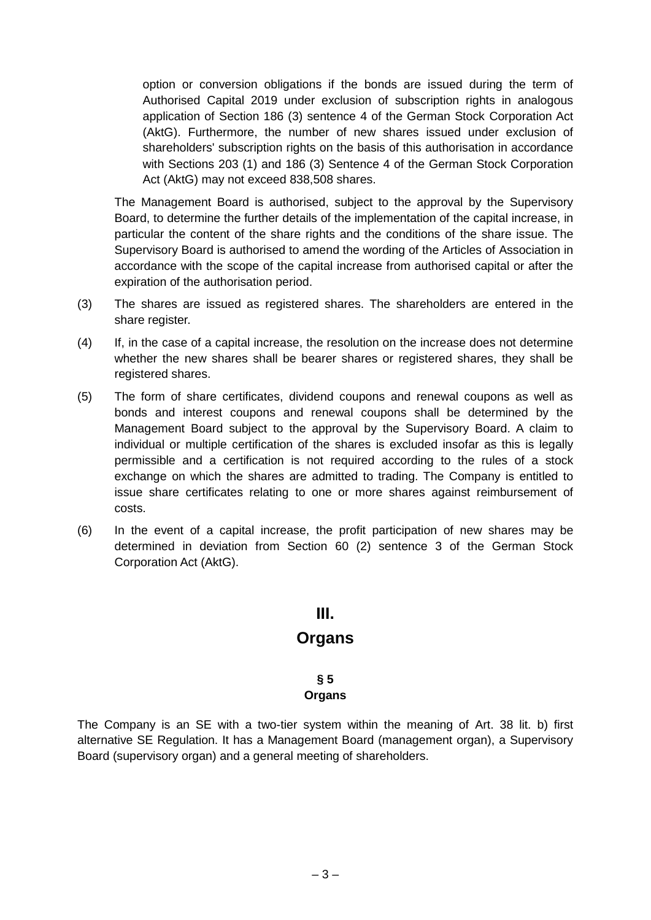option or conversion obligations if the bonds are issued during the term of Authorised Capital 2019 under exclusion of subscription rights in analogous application of Section 186 (3) sentence 4 of the German Stock Corporation Act (AktG). Furthermore, the number of new shares issued under exclusion of shareholders' subscription rights on the basis of this authorisation in accordance with Sections 203 (1) and 186 (3) Sentence 4 of the German Stock Corporation Act (AktG) may not exceed 838,508 shares.

The Management Board is authorised, subject to the approval by the Supervisory Board, to determine the further details of the implementation of the capital increase, in particular the content of the share rights and the conditions of the share issue. The Supervisory Board is authorised to amend the wording of the Articles of Association in accordance with the scope of the capital increase from authorised capital or after the expiration of the authorisation period.

- (3) The shares are issued as registered shares. The shareholders are entered in the share register.
- (4) If, in the case of a capital increase, the resolution on the increase does not determine whether the new shares shall be bearer shares or registered shares, they shall be registered shares.
- (5) The form of share certificates, dividend coupons and renewal coupons as well as bonds and interest coupons and renewal coupons shall be determined by the Management Board subject to the approval by the Supervisory Board. A claim to individual or multiple certification of the shares is excluded insofar as this is legally permissible and a certification is not required according to the rules of a stock exchange on which the shares are admitted to trading. The Company is entitled to issue share certificates relating to one or more shares against reimbursement of costs.
- (6) In the event of a capital increase, the profit participation of new shares may be determined in deviation from Section 60 (2) sentence 3 of the German Stock Corporation Act (AktG).

## **III.**

## **Organs**

# **§ 5**

#### **Organs**

The Company is an SE with a two-tier system within the meaning of Art. 38 lit. b) first alternative SE Regulation. It has a Management Board (management organ), a Supervisory Board (supervisory organ) and a general meeting of shareholders.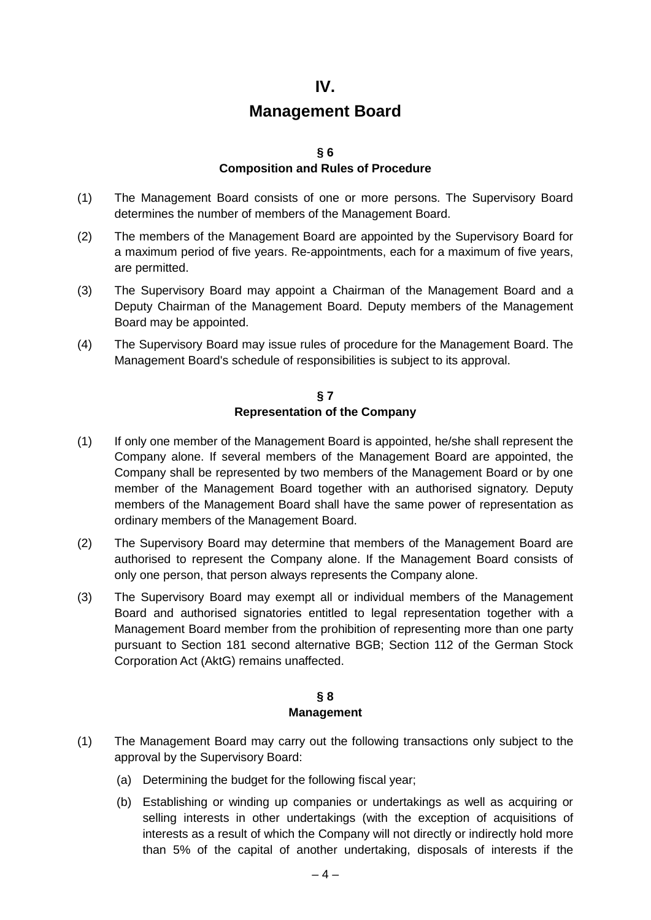## **Management Board**

#### **§ 6**

#### **Composition and Rules of Procedure**

- (1) The Management Board consists of one or more persons. The Supervisory Board determines the number of members of the Management Board.
- (2) The members of the Management Board are appointed by the Supervisory Board for a maximum period of five years. Re-appointments, each for a maximum of five years, are permitted.
- (3) The Supervisory Board may appoint a Chairman of the Management Board and a Deputy Chairman of the Management Board. Deputy members of the Management Board may be appointed.
- (4) The Supervisory Board may issue rules of procedure for the Management Board. The Management Board's schedule of responsibilities is subject to its approval.

#### **§ 7 Representation of the Company**

- (1) If only one member of the Management Board is appointed, he/she shall represent the Company alone. If several members of the Management Board are appointed, the Company shall be represented by two members of the Management Board or by one member of the Management Board together with an authorised signatory. Deputy members of the Management Board shall have the same power of representation as ordinary members of the Management Board.
- (2) The Supervisory Board may determine that members of the Management Board are authorised to represent the Company alone. If the Management Board consists of only one person, that person always represents the Company alone.
- (3) The Supervisory Board may exempt all or individual members of the Management Board and authorised signatories entitled to legal representation together with a Management Board member from the prohibition of representing more than one party pursuant to Section 181 second alternative BGB; Section 112 of the German Stock Corporation Act (AktG) remains unaffected.

## **§ 8 Management**

- (1) The Management Board may carry out the following transactions only subject to the approval by the Supervisory Board:
	- (a) Determining the budget for the following fiscal year;
	- (b) Establishing or winding up companies or undertakings as well as acquiring or selling interests in other undertakings (with the exception of acquisitions of interests as a result of which the Company will not directly or indirectly hold more than 5% of the capital of another undertaking, disposals of interests if the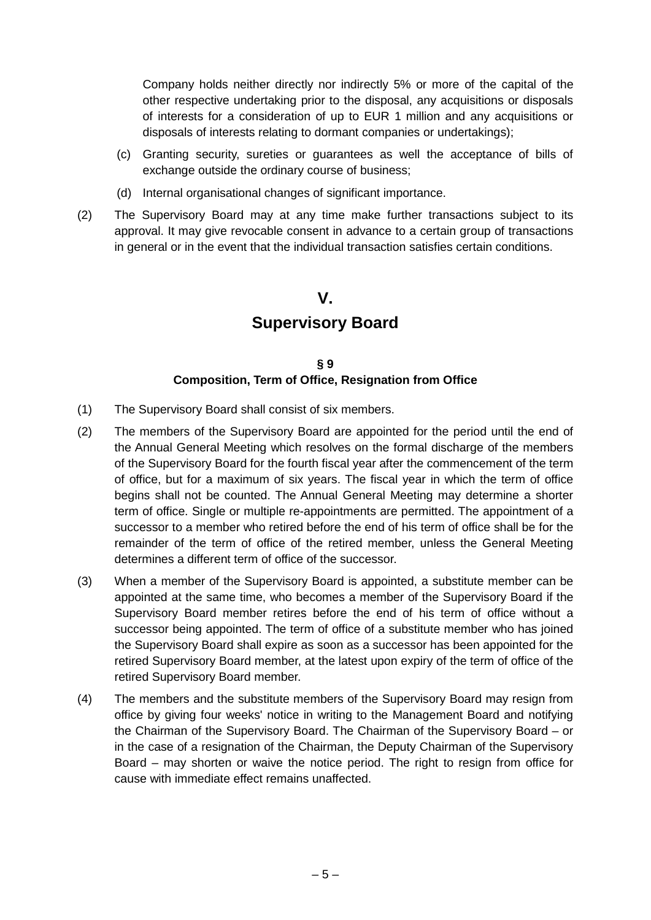Company holds neither directly nor indirectly 5% or more of the capital of the other respective undertaking prior to the disposal, any acquisitions or disposals of interests for a consideration of up to EUR 1 million and any acquisitions or disposals of interests relating to dormant companies or undertakings);

- (c) Granting security, sureties or guarantees as well the acceptance of bills of exchange outside the ordinary course of business;
- (d) Internal organisational changes of significant importance.
- (2) The Supervisory Board may at any time make further transactions subject to its approval. It may give revocable consent in advance to a certain group of transactions in general or in the event that the individual transaction satisfies certain conditions.

## **V.**

## **Supervisory Board**

#### **§ 9 Composition, Term of Office, Resignation from Office**

- (1) The Supervisory Board shall consist of six members.
- (2) The members of the Supervisory Board are appointed for the period until the end of the Annual General Meeting which resolves on the formal discharge of the members of the Supervisory Board for the fourth fiscal year after the commencement of the term of office, but for a maximum of six years. The fiscal year in which the term of office begins shall not be counted. The Annual General Meeting may determine a shorter term of office. Single or multiple re-appointments are permitted. The appointment of a successor to a member who retired before the end of his term of office shall be for the remainder of the term of office of the retired member, unless the General Meeting determines a different term of office of the successor.
- (3) When a member of the Supervisory Board is appointed, a substitute member can be appointed at the same time, who becomes a member of the Supervisory Board if the Supervisory Board member retires before the end of his term of office without a successor being appointed. The term of office of a substitute member who has joined the Supervisory Board shall expire as soon as a successor has been appointed for the retired Supervisory Board member, at the latest upon expiry of the term of office of the retired Supervisory Board member.
- (4) The members and the substitute members of the Supervisory Board may resign from office by giving four weeks' notice in writing to the Management Board and notifying the Chairman of the Supervisory Board. The Chairman of the Supervisory Board – or in the case of a resignation of the Chairman, the Deputy Chairman of the Supervisory Board – may shorten or waive the notice period. The right to resign from office for cause with immediate effect remains unaffected.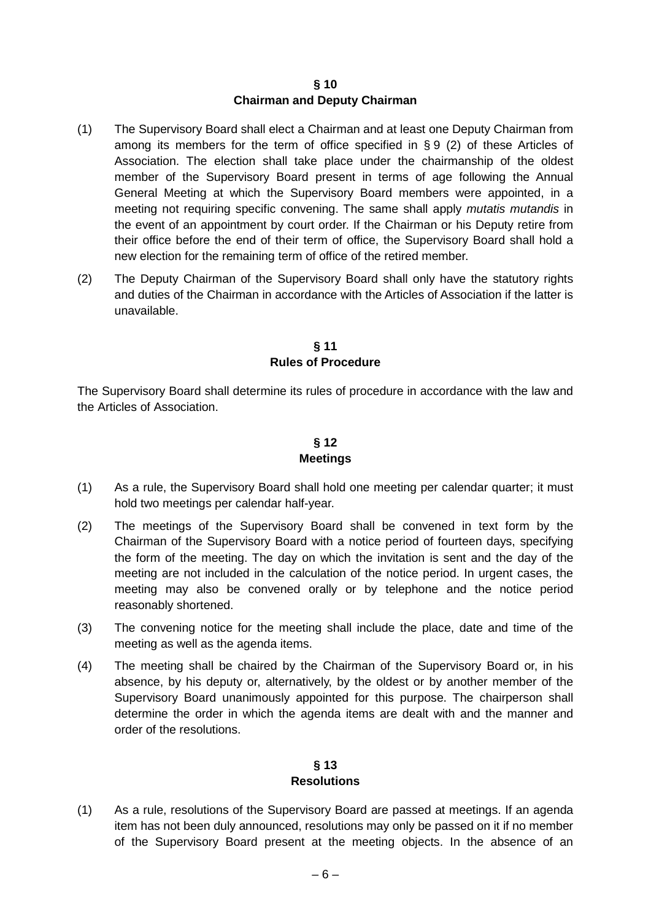#### **§ 10 Chairman and Deputy Chairman**

- (1) The Supervisory Board shall elect a Chairman and at least one Deputy Chairman from among its members for the term of office specified in [§](#page-8-0) 9 [\(2\)](#page-8-1) of these Articles of Association. The election shall take place under the chairmanship of the oldest member of the Supervisory Board present in terms of age following the Annual General Meeting at which the Supervisory Board members were appointed, in a meeting not requiring specific convening. The same shall apply *mutatis mutandis* in the event of an appointment by court order. If the Chairman or his Deputy retire from their office before the end of their term of office, the Supervisory Board shall hold a new election for the remaining term of office of the retired member.
- (2) The Deputy Chairman of the Supervisory Board shall only have the statutory rights and duties of the Chairman in accordance with the Articles of Association if the latter is unavailable.

#### **§ 11 Rules of Procedure**

The Supervisory Board shall determine its rules of procedure in accordance with the law and the Articles of Association.

## **§ 12 Meetings**

- <span id="page-23-0"></span>(1) As a rule, the Supervisory Board shall hold one meeting per calendar quarter; it must hold two meetings per calendar half-year.
- (2) The meetings of the Supervisory Board shall be convened in text form by the Chairman of the Supervisory Board with a notice period of fourteen days, specifying the form of the meeting. The day on which the invitation is sent and the day of the meeting are not included in the calculation of the notice period. In urgent cases, the meeting may also be convened orally or by telephone and the notice period reasonably shortened.
- (3) The convening notice for the meeting shall include the place, date and time of the meeting as well as the agenda items.
- (4) The meeting shall be chaired by the Chairman of the Supervisory Board or, in his absence, by his deputy or, alternatively, by the oldest or by another member of the Supervisory Board unanimously appointed for this purpose. The chairperson shall determine the order in which the agenda items are dealt with and the manner and order of the resolutions.

## **§ 13 Resolutions**

<span id="page-23-1"></span>(1) As a rule, resolutions of the Supervisory Board are passed at meetings. If an agenda item has not been duly announced, resolutions may only be passed on it if no member of the Supervisory Board present at the meeting objects. In the absence of an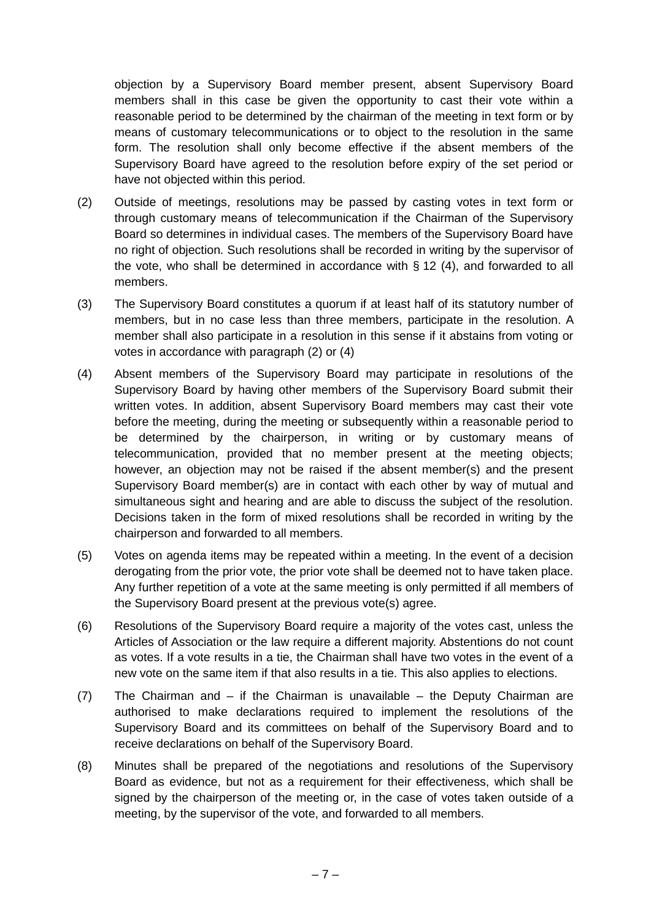objection by a Supervisory Board member present, absent Supervisory Board members shall in this case be given the opportunity to cast their vote within a reasonable period to be determined by the chairman of the meeting in text form or by means of customary telecommunications or to object to the resolution in the same form. The resolution shall only become effective if the absent members of the Supervisory Board have agreed to the resolution before expiry of the set period or have not objected within this period.

- (2) Outside of meetings, resolutions may be passed by casting votes in text form or through customary means of telecommunication if the Chairman of the Supervisory Board so determines in individual cases. The members of the Supervisory Board have no right of objection. Such resolutions shall be recorded in writing by the supervisor of the vote, who shall be determined in accordance with  $\S$  [12](#page-23-0) [\(4\),](#page-9-1) and forwarded to all members.
- (3) The Supervisory Board constitutes a quorum if at least half of its statutory number of members, but in no case less than three members, participate in the resolution. A member shall also participate in a resolution in this sense if it abstains from voting or votes in accordance with paragraph [\(2\)](#page-10-0) or [\(4\)](#page-10-1)
- (4) Absent members of the Supervisory Board may participate in resolutions of the Supervisory Board by having other members of the Supervisory Board submit their written votes. In addition, absent Supervisory Board members may cast their vote before the meeting, during the meeting or subsequently within a reasonable period to be determined by the chairperson, in writing or by customary means of telecommunication, provided that no member present at the meeting objects; however, an objection may not be raised if the absent member(s) and the present Supervisory Board member(s) are in contact with each other by way of mutual and simultaneous sight and hearing and are able to discuss the subject of the resolution. Decisions taken in the form of mixed resolutions shall be recorded in writing by the chairperson and forwarded to all members.
- (5) Votes on agenda items may be repeated within a meeting. In the event of a decision derogating from the prior vote, the prior vote shall be deemed not to have taken place. Any further repetition of a vote at the same meeting is only permitted if all members of the Supervisory Board present at the previous vote(s) agree.
- (6) Resolutions of the Supervisory Board require a majority of the votes cast, unless the Articles of Association or the law require a different majority. Abstentions do not count as votes. If a vote results in a tie, the Chairman shall have two votes in the event of a new vote on the same item if that also results in a tie. This also applies to elections.
- (7) The Chairman and if the Chairman is unavailable the Deputy Chairman are authorised to make declarations required to implement the resolutions of the Supervisory Board and its committees on behalf of the Supervisory Board and to receive declarations on behalf of the Supervisory Board.
- (8) Minutes shall be prepared of the negotiations and resolutions of the Supervisory Board as evidence, but not as a requirement for their effectiveness, which shall be signed by the chairperson of the meeting or, in the case of votes taken outside of a meeting, by the supervisor of the vote, and forwarded to all members.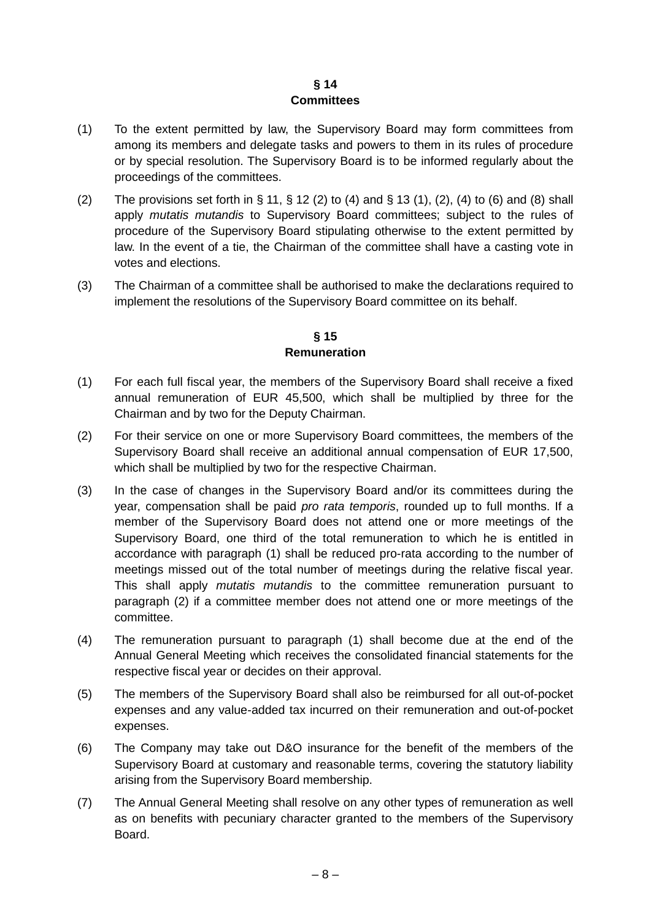## **§ 14 Committees**

- (1) To the extent permitted by law, the Supervisory Board may form committees from among its members and delegate tasks and powers to them in its rules of procedure or by special resolution. The Supervisory Board is to be informed regularly about the proceedings of the committees.
- [\(2\)](#page-9-3) The provisions set forth in  $\S 11$ ,  $\S 12$  $\S 12$  (2) to [\(4\)](#page-10-1) and  $\S 13$  $\S 13$  [\(1\),](#page-9-5) [\(2\),](#page-10-0) (4) to [\(6\)](#page-10-2) and [\(8\)](#page-11-0) shall apply *mutatis mutandis* to Supervisory Board committees; subject to the rules of procedure of the Supervisory Board stipulating otherwise to the extent permitted by law. In the event of a tie, the Chairman of the committee shall have a casting vote in votes and elections.
- (3) The Chairman of a committee shall be authorised to make the declarations required to implement the resolutions of the Supervisory Board committee on its behalf.

#### **§ 15 Remuneration**

- (1) For each full fiscal year, the members of the Supervisory Board shall receive a fixed annual remuneration of EUR 45,500, which shall be multiplied by three for the Chairman and by two for the Deputy Chairman.
- (2) For their service on one or more Supervisory Board committees, the members of the Supervisory Board shall receive an additional annual compensation of EUR 17,500, which shall be multiplied by two for the respective Chairman.
- (3) In the case of changes in the Supervisory Board and/or its committees during the year, compensation shall be paid *pro rata temporis*, rounded up to full months. If a member of the Supervisory Board does not attend one or more meetings of the Supervisory Board, one third of the total remuneration to which he is entitled in accordance with paragraph [\(1\)](#page-11-1) shall be reduced pro-rata according to the number of meetings missed out of the total number of meetings during the relative fiscal year. This shall apply *mutatis mutandis* to the committee remuneration pursuant to paragraph [\(2\)](#page-11-2) if a committee member does not attend one or more meetings of the committee.
- (4) The remuneration pursuant to paragraph [\(1\)](#page-11-1) shall become due at the end of the Annual General Meeting which receives the consolidated financial statements for the respective fiscal year or decides on their approval.
- (5) The members of the Supervisory Board shall also be reimbursed for all out-of-pocket expenses and any value-added tax incurred on their remuneration and out-of-pocket expenses.
- (6) The Company may take out D&O insurance for the benefit of the members of the Supervisory Board at customary and reasonable terms, covering the statutory liability arising from the Supervisory Board membership.
- (7) The Annual General Meeting shall resolve on any other types of remuneration as well as on benefits with pecuniary character granted to the members of the Supervisory Board.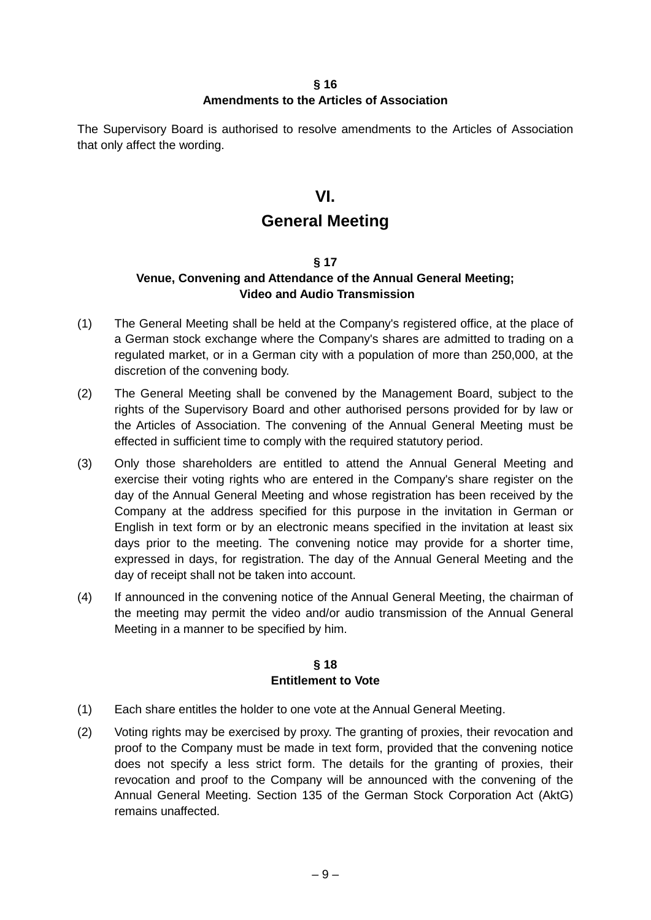#### **§ 16 Amendments to the Articles of Association**

The Supervisory Board is authorised to resolve amendments to the Articles of Association that only affect the wording.

## **VI.**

## **General Meeting**

## **§ 17**

## **Venue, Convening and Attendance of the Annual General Meeting; Video and Audio Transmission**

- (1) The General Meeting shall be held at the Company's registered office, at the place of a German stock exchange where the Company's shares are admitted to trading on a regulated market, or in a German city with a population of more than 250,000, at the discretion of the convening body.
- (2) The General Meeting shall be convened by the Management Board, subject to the rights of the Supervisory Board and other authorised persons provided for by law or the Articles of Association. The convening of the Annual General Meeting must be effected in sufficient time to comply with the required statutory period.
- (3) Only those shareholders are entitled to attend the Annual General Meeting and exercise their voting rights who are entered in the Company's share register on the day of the Annual General Meeting and whose registration has been received by the Company at the address specified for this purpose in the invitation in German or English in text form or by an electronic means specified in the invitation at least six days prior to the meeting. The convening notice may provide for a shorter time, expressed in days, for registration. The day of the Annual General Meeting and the day of receipt shall not be taken into account.
- (4) If announced in the convening notice of the Annual General Meeting, the chairman of the meeting may permit the video and/or audio transmission of the Annual General Meeting in a manner to be specified by him.

## **§ 18 Entitlement to Vote**

- (1) Each share entitles the holder to one vote at the Annual General Meeting.
- (2) Voting rights may be exercised by proxy. The granting of proxies, their revocation and proof to the Company must be made in text form, provided that the convening notice does not specify a less strict form. The details for the granting of proxies, their revocation and proof to the Company will be announced with the convening of the Annual General Meeting. Section 135 of the German Stock Corporation Act (AktG) remains unaffected.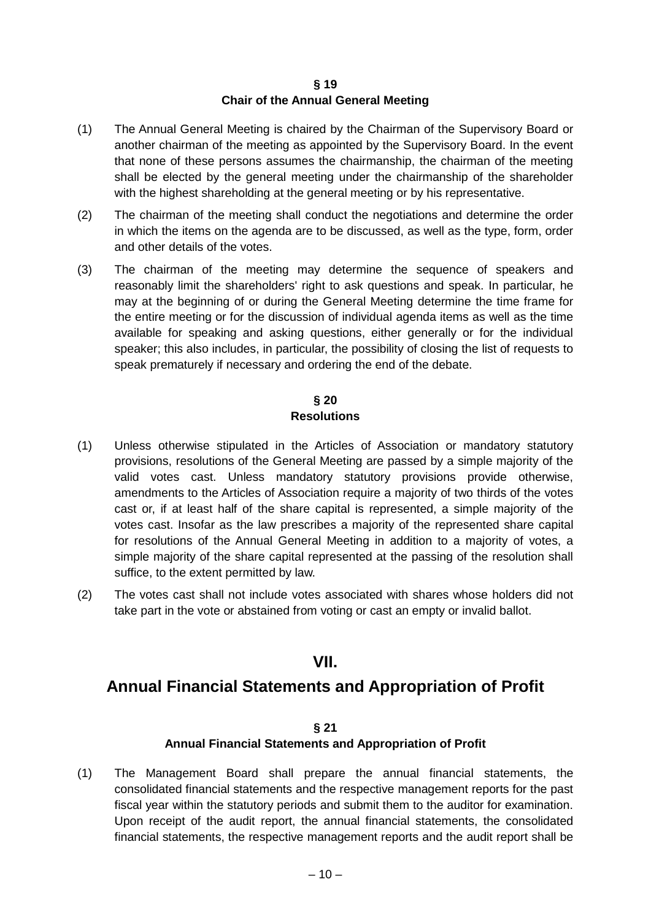#### **§ 19 Chair of the Annual General Meeting**

- (1) The Annual General Meeting is chaired by the Chairman of the Supervisory Board or another chairman of the meeting as appointed by the Supervisory Board. In the event that none of these persons assumes the chairmanship, the chairman of the meeting shall be elected by the general meeting under the chairmanship of the shareholder with the highest shareholding at the general meeting or by his representative.
- (2) The chairman of the meeting shall conduct the negotiations and determine the order in which the items on the agenda are to be discussed, as well as the type, form, order and other details of the votes.
- (3) The chairman of the meeting may determine the sequence of speakers and reasonably limit the shareholders' right to ask questions and speak. In particular, he may at the beginning of or during the General Meeting determine the time frame for the entire meeting or for the discussion of individual agenda items as well as the time available for speaking and asking questions, either generally or for the individual speaker; this also includes, in particular, the possibility of closing the list of requests to speak prematurely if necessary and ordering the end of the debate.

## **§ 20 Resolutions**

- (1) Unless otherwise stipulated in the Articles of Association or mandatory statutory provisions, resolutions of the General Meeting are passed by a simple majority of the valid votes cast. Unless mandatory statutory provisions provide otherwise, amendments to the Articles of Association require a majority of two thirds of the votes cast or, if at least half of the share capital is represented, a simple majority of the votes cast. Insofar as the law prescribes a majority of the represented share capital for resolutions of the Annual General Meeting in addition to a majority of votes, a simple majority of the share capital represented at the passing of the resolution shall suffice, to the extent permitted by law.
- (2) The votes cast shall not include votes associated with shares whose holders did not take part in the vote or abstained from voting or cast an empty or invalid ballot.

## **VII.**

## **Annual Financial Statements and Appropriation of Profit**

## **§ 21**

## **Annual Financial Statements and Appropriation of Profit**

(1) The Management Board shall prepare the annual financial statements, the consolidated financial statements and the respective management reports for the past fiscal year within the statutory periods and submit them to the auditor for examination. Upon receipt of the audit report, the annual financial statements, the consolidated financial statements, the respective management reports and the audit report shall be